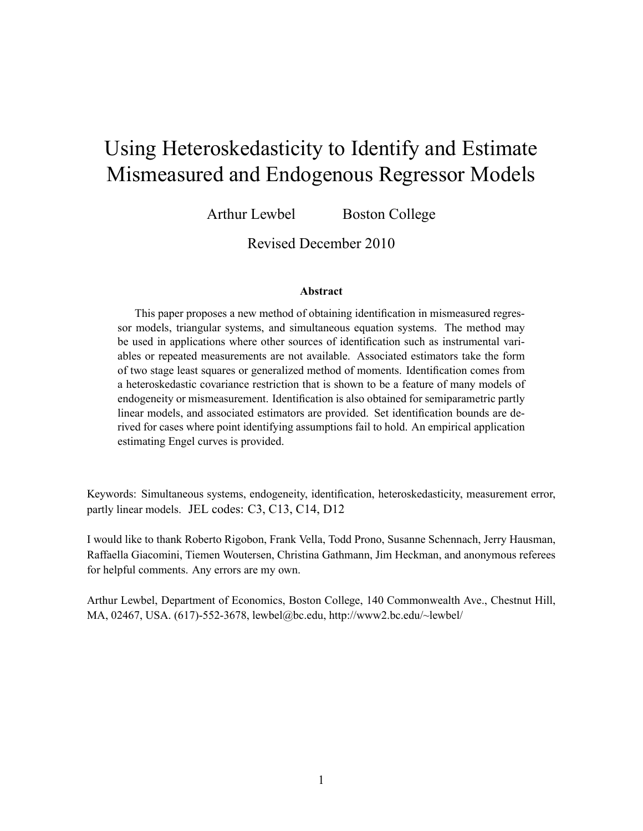# Using Heteroskedasticity to Identify and Estimate Mismeasured and Endogenous Regressor Models

Arthur Lewbel Boston College

Revised December 2010

#### Abstract

This paper proposes a new method of obtaining identification in mismeasured regressor models, triangular systems, and simultaneous equation systems. The method may be used in applications where other sources of identification such as instrumental variables or repeated measurements are not available. Associated estimators take the form of two stage least squares or generalized method of moments. Identification comes from a heteroskedastic covariance restriction that is shown to be a feature of many models of endogeneity or mismeasurement. Identification is also obtained for semiparametric partly linear models, and associated estimators are provided. Set identification bounds are derived for cases where point identifying assumptions fail to hold. An empirical application estimating Engel curves is provided.

Keywords: Simultaneous systems, endogeneity, identification, heteroskedasticity, measurement error, partly linear models. JEL codes: C3, C13, C14, D12

I would like to thank Roberto Rigobon, Frank Vella, Todd Prono, Susanne Schennach, Jerry Hausman, Raffaella Giacomini, Tiemen Woutersen, Christina Gathmann, Jim Heckman, and anonymous referees for helpful comments. Any errors are my own.

Arthur Lewbel, Department of Economics, Boston College, 140 Commonwealth Ave., Chestnut Hill, MA, 02467, USA. (617)-552-3678, lewbel@bc.edu, http://www2.bc.edu/~lewbel/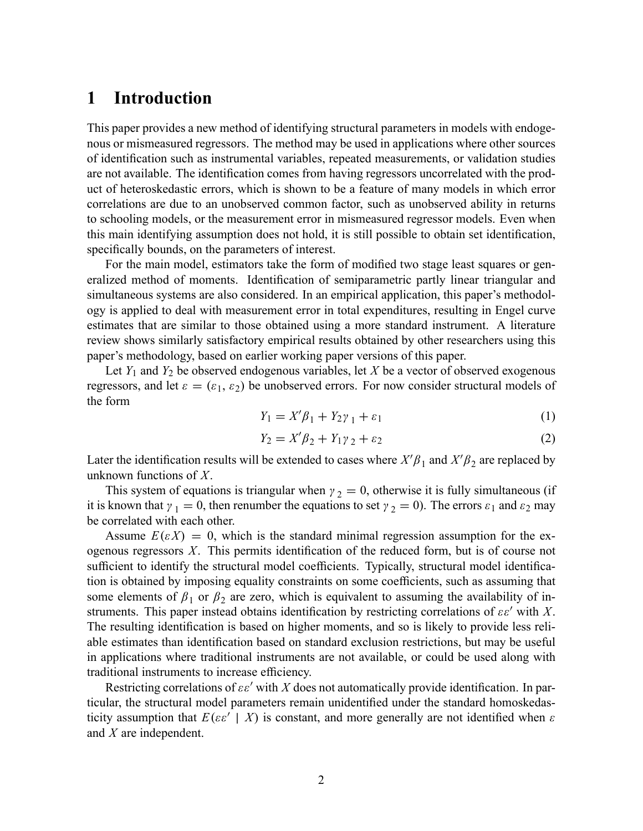## 1 Introduction

This paper provides a new method of identifying structural parameters in models with endogenous or mismeasured regressors. The method may be used in applications where other sources of identification such as instrumental variables, repeated measurements, or validation studies are not available. The identification comes from having regressors uncorrelated with the product of heteroskedastic errors, which is shown to be a feature of many models in which error correlations are due to an unobserved common factor, such as unobserved ability in returns to schooling models, or the measurement error in mismeasured regressor models. Even when this main identifying assumption does not hold, it is still possible to obtain set identification, specifically bounds, on the parameters of interest.

For the main model, estimators take the form of modified two stage least squares or generalized method of moments. Identification of semiparametric partly linear triangular and simultaneous systems are also considered. In an empirical application, this paper's methodology is applied to deal with measurement error in total expenditures, resulting in Engel curve estimates that are similar to those obtained using a more standard instrument. A literature review shows similarly satisfactory empirical results obtained by other researchers using this paper's methodology, based on earlier working paper versions of this paper.

Let  $Y_1$  and  $Y_2$  be observed endogenous variables, let X be a vector of observed exogenous regressors, and let  $\varepsilon = (\varepsilon_1, \varepsilon_2)$  be unobserved errors. For now consider structural models of the form

$$
Y_1 = X'\beta_1 + Y_2\gamma_1 + \varepsilon_1\tag{1}
$$

$$
Y_2 = X'\beta_2 + Y_1\gamma_2 + \varepsilon_2 \tag{2}
$$

Later the identification results will be extended to cases where  $X'\beta_1$  and  $X'\beta_2$  are replaced by unknown functions of X.

This system of equations is triangular when  $\gamma_2 = 0$ , otherwise it is fully simultaneous (if it is known that  $\gamma_1 = 0$ , then renumber the equations to set  $\gamma_2 = 0$ ). The errors  $\varepsilon_1$  and  $\varepsilon_2$  may be correlated with each other.

Assume  $E(\varepsilon X) = 0$ , which is the standard minimal regression assumption for the exogenous regressors  $X$ . This permits identification of the reduced form, but is of course not sufficient to identify the structural model coefficients. Typically, structural model identification is obtained by imposing equality constraints on some coefficients, such as assuming that some elements of  $\beta_1$  or  $\beta_2$  are zero, which is equivalent to assuming the availability of instruments. This paper instead obtains identification by restricting correlations of  $\varepsilon \varepsilon'$  with X. The resulting identification is based on higher moments, and so is likely to provide less reliable estimates than identification based on standard exclusion restrictions, but may be useful in applications where traditional instruments are not available, or could be used along with traditional instruments to increase efficiency.

Restricting correlations of  $\varepsilon \varepsilon'$  with X does not automatically provide identification. In particular, the structural model parameters remain unidentified under the standard homoskedasticity assumption that  $E(\varepsilon \varepsilon' | X)$  is constant, and more generally are not identified when  $\varepsilon$ and X are independent.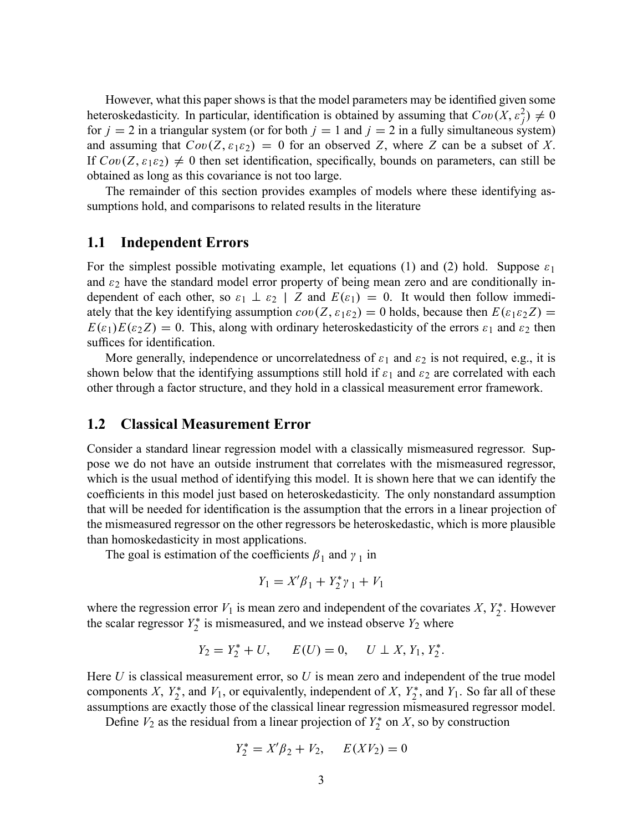However, what this paper shows is that the model parameters may be identified given some heteroskedasticity. In particular, identification is obtained by assuming that  $Cov(X, \varepsilon_j^2) \neq 0$ for  $j = 2$  in a triangular system (or for both  $j = 1$  and  $j = 2$  in a fully simultaneous system) and assuming that  $Cov(Z, \varepsilon_1 \varepsilon_2) = 0$  for an observed Z, where Z can be a subset of X. If  $Cov(Z, \varepsilon_1 \varepsilon_2) \neq 0$  then set identification, specifically, bounds on parameters, can still be obtained as long as this covariance is not too large.

The remainder of this section provides examples of models where these identifying assumptions hold, and comparisons to related results in the literature

### 1.1 Independent Errors

For the simplest possible motivating example, let equations (1) and (2) hold. Suppose  $\varepsilon_1$ and  $\varepsilon_2$  have the standard model error property of being mean zero and are conditionally independent of each other, so  $\varepsilon_1 \perp \varepsilon_2$  | Z and  $E(\varepsilon_1) = 0$ . It would then follow immediately that the key identifying assumption  $cov(Z, \varepsilon_1 \varepsilon_2) = 0$  holds, because then  $E(\varepsilon_1 \varepsilon_2 Z) =$  $E(\varepsilon_1)E(\varepsilon_2 Z) = 0$ . This, along with ordinary heteroskedasticity of the errors  $\varepsilon_1$  and  $\varepsilon_2$  then suffices for identification.

More generally, independence or uncorrelatedness of  $\varepsilon_1$  and  $\varepsilon_2$  is not required, e.g., it is shown below that the identifying assumptions still hold if  $\varepsilon_1$  and  $\varepsilon_2$  are correlated with each other through a factor structure, and they hold in a classical measurement error framework.

### 1.2 Classical Measurement Error

Consider a standard linear regression model with a classically mismeasured regressor. Suppose we do not have an outside instrument that correlates with the mismeasured regressor, which is the usual method of identifying this model. It is shown here that we can identify the coefficients in this model just based on heteroskedasticity. The only nonstandard assumption that will be needed for identification is the assumption that the errors in a linear projection of the mismeasured regressor on the other regressors be heteroskedastic, which is more plausible than homoskedasticity in most applications.

The goal is estimation of the coefficients  $\beta_1$  and  $\gamma_1$  in

$$
Y_1 = X'\beta_1 + Y_2^* \gamma_1 + V_1
$$

where the regression error  $V_1$  is mean zero and independent of the covariates  $X, Y_2^*$ . However the scalar regressor  $Y_2^*$  is mismeasured, and we instead observe  $Y_2$  where

$$
Y_2 = Y_2^* + U
$$
,  $E(U) = 0$ ,  $U \perp X$ ,  $Y_1$ ,  $Y_2^*$ .

Here  $U$  is classical measurement error, so  $U$  is mean zero and independent of the true model components X,  $Y_2^*$ , and  $V_1$ , or equivalently, independent of X,  $Y_2^*$ , and  $Y_1$ . So far all of these assumptions are exactly those of the classical linear regression mismeasured regressor model.

Define  $V_2$  as the residual from a linear projection of  $Y_2^*$  on X, so by construction

$$
Y_2^* = X'\beta_2 + V_2, \quad E(XV_2) = 0
$$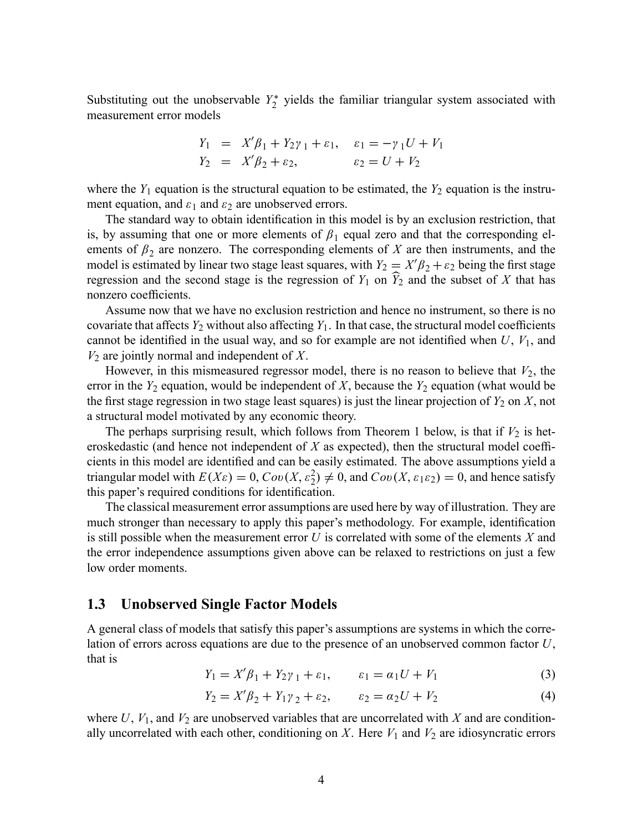Substituting out the unobservable  $Y_2^*$  yields the familiar triangular system associated with measurement error models

$$
Y_1 = X'\beta_1 + Y_2\gamma_1 + \varepsilon_1, \quad \varepsilon_1 = -\gamma_1 U + V_1
$$
  
\n
$$
Y_2 = X'\beta_2 + \varepsilon_2, \qquad \varepsilon_2 = U + V_2
$$

where the  $Y_1$  equation is the structural equation to be estimated, the  $Y_2$  equation is the instrument equation, and  $\varepsilon_1$  and  $\varepsilon_2$  are unobserved errors.

The standard way to obtain identification in this model is by an exclusion restriction, that is, by assuming that one or more elements of  $\beta_1$  equal zero and that the corresponding elements of  $\beta_2$  are nonzero. The corresponding elements of X are then instruments, and the model is estimated by linear two stage least squares, with  $Y_2 = X'\beta_2 + \varepsilon_2$  being the first stage regression and the second stage is the regression of  $Y_1$  on  $\widehat{Y}_2$  and the subset of X that has nonzero coefficients.

Assume now that we have no exclusion restriction and hence no instrument, so there is no covariate that affects  $Y_2$  without also affecting  $Y_1$ . In that case, the structural model coefficients cannot be identified in the usual way, and so for example are not identified when  $U, V_1$ , and  $V_2$  are jointly normal and independent of X.

However, in this mismeasured regressor model, there is no reason to believe that  $V_2$ , the error in the  $Y_2$  equation, would be independent of X, because the  $Y_2$  equation (what would be the first stage regression in two stage least squares) is just the linear projection of  $Y_2$  on  $X$ , not a structural model motivated by any economic theory.

The perhaps surprising result, which follows from Theorem 1 below, is that if  $V_2$  is heteroskedastic (and hence not independent of  $X$  as expected), then the structural model coefficients in this model are identified and can be easily estimated. The above assumptions yield a triangular model with  $E(X\varepsilon) = 0$ ,  $Cov(X, \varepsilon_2^2) \neq 0$ , and  $Cov(X, \varepsilon_1 \varepsilon_2) = 0$ , and hence satisfy this paper's required conditions for identification.

The classical measurement error assumptions are used here by way of illustration. They are much stronger than necessary to apply this paper's methodology. For example, identification is still possible when the measurement error  $U$  is correlated with some of the elements  $X$  and the error independence assumptions given above can be relaxed to restrictions on just a few low order moments.

### 1.3 Unobserved Single Factor Models

A general class of models that satisfy this paper's assumptions are systems in which the correlation of errors across equations are due to the presence of an unobserved common factor U, that is

$$
Y_1 = X'\beta_1 + Y_2\gamma_1 + \varepsilon_1, \qquad \varepsilon_1 = \alpha_1 U + V_1 \tag{3}
$$

$$
Y_2 = X'\beta_2 + Y_1\gamma_2 + \varepsilon_2, \qquad \varepsilon_2 = \alpha_2 U + V_2 \tag{4}
$$

where  $U$ ,  $V_1$ , and  $V_2$  are unobserved variables that are uncorrelated with X and are conditionally uncorrelated with each other, conditioning on  $X$ . Here  $V_1$  and  $V_2$  are idiosyncratic errors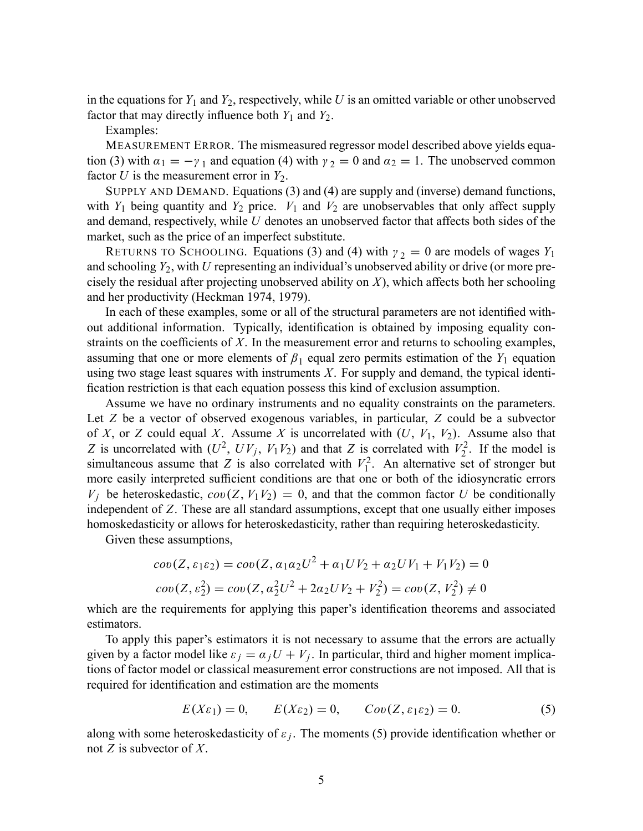in the equations for  $Y_1$  and  $Y_2$ , respectively, while U is an omitted variable or other unobserved factor that may directly influence both  $Y_1$  and  $Y_2$ .

Examples:

MEASUREMENT ERROR. The mismeasured regressor model described above yields equation (3) with  $\alpha_1 = -\gamma_1$  and equation (4) with  $\gamma_2 = 0$  and  $\alpha_2 = 1$ . The unobserved common factor U is the measurement error in  $Y_2$ .

SUPPLY AND DEMAND. Equations (3) and (4) are supply and (inverse) demand functions, with  $Y_1$  being quantity and  $Y_2$  price.  $V_1$  and  $V_2$  are unobservables that only affect supply and demand, respectively, while  $U$  denotes an unobserved factor that affects both sides of the market, such as the price of an imperfect substitute.

RETURNS TO SCHOOLING. Equations (3) and (4) with  $\gamma_2 = 0$  are models of wages  $Y_1$ and schooling  $Y_2$ , with U representing an individual's unobserved ability or drive (or more precisely the residual after projecting unobserved ability on  $X$ ), which affects both her schooling and her productivity (Heckman 1974, 1979).

In each of these examples, some or all of the structural parameters are not identified without additional information. Typically, identification is obtained by imposing equality constraints on the coefficients of  $X$ . In the measurement error and returns to schooling examples, assuming that one or more elements of  $\beta_1$  equal zero permits estimation of the  $Y_1$  equation using two stage least squares with instruments  $X$ . For supply and demand, the typical identification restriction is that each equation possess this kind of exclusion assumption.

Assume we have no ordinary instruments and no equality constraints on the parameters. Let Z be a vector of observed exogenous variables, in particular, Z could be a subvector of X, or Z could equal X. Assume X is uncorrelated with  $(U, V_1, V_2)$ . Assume also that Z is uncorrelated with  $(U^2, UV_j, V_1V_2)$  and that Z is correlated with  $V_2^2$  $\chi_2^2$ . If the model is simultaneous assume that Z is also correlated with  $V_1^2$  $I_1^2$ . An alternative set of stronger but more easily interpreted sufficient conditions are that one or both of the idiosyncratic errors  $V_i$  be heteroskedastic,  $cov(Z, V_1V_2) = 0$ , and that the common factor U be conditionally independent of Z. These are all standard assumptions, except that one usually either imposes homoskedasticity or allows for heteroskedasticity, rather than requiring heteroskedasticity.

Given these assumptions,

$$
cov(Z, \varepsilon_1 \varepsilon_2) = cov(Z, \alpha_1 \alpha_2 U^2 + \alpha_1 U V_2 + \alpha_2 U V_1 + V_1 V_2) = 0
$$
  

$$
cov(Z, \varepsilon_2^2) = cov(Z, \alpha_2^2 U^2 + 2\alpha_2 U V_2 + V_2^2) = cov(Z, V_2^2) \neq 0
$$

which are the requirements for applying this paper's identification theorems and associated estimators.

To apply this paper's estimators it is not necessary to assume that the errors are actually given by a factor model like  $\varepsilon_j = \alpha_j U + V_j$ . In particular, third and higher moment implications of factor model or classical measurement error constructions are not imposed. All that is required for identification and estimation are the moments

$$
E(X\varepsilon_1) = 0, \qquad E(X\varepsilon_2) = 0, \qquad Cov(Z, \varepsilon_1 \varepsilon_2) = 0. \tag{5}
$$

along with some heteroskedasticity of  $\varepsilon_j$ . The moments (5) provide identification whether or not  $Z$  is subvector of  $X$ .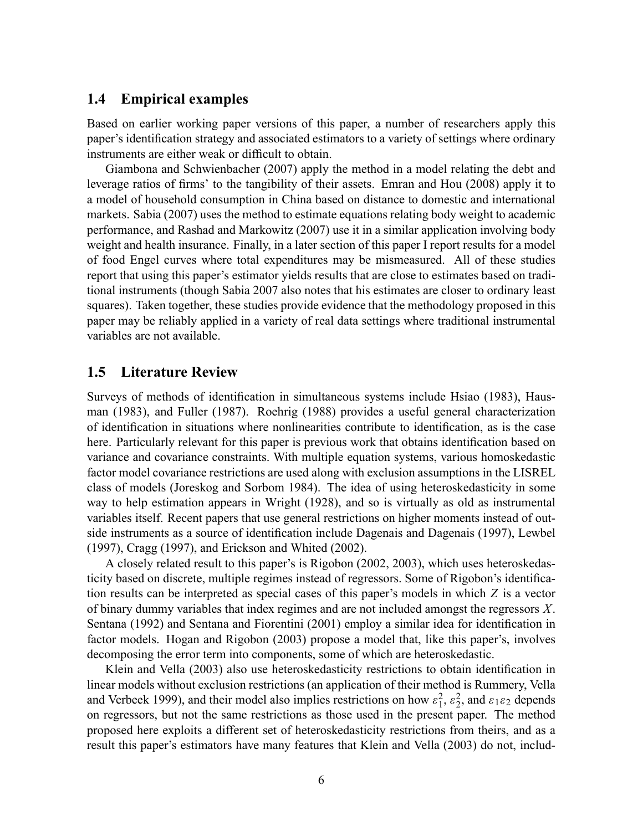### 1.4 Empirical examples

Based on earlier working paper versions of this paper, a number of researchers apply this paper's identification strategy and associated estimators to a variety of settings where ordinary instruments are either weak or difficult to obtain.

Giambona and Schwienbacher (2007) apply the method in a model relating the debt and leverage ratios of firms' to the tangibility of their assets. Emran and Hou (2008) apply it to a model of household consumption in China based on distance to domestic and international markets. Sabia (2007) uses the method to estimate equations relating body weight to academic performance, and Rashad and Markowitz (2007) use it in a similar application involving body weight and health insurance. Finally, in a later section of this paper I report results for a model of food Engel curves where total expenditures may be mismeasured. All of these studies report that using this paper's estimator yields results that are close to estimates based on traditional instruments (though Sabia 2007 also notes that his estimates are closer to ordinary least squares). Taken together, these studies provide evidence that the methodology proposed in this paper may be reliably applied in a variety of real data settings where traditional instrumental variables are not available.

### 1.5 Literature Review

Surveys of methods of identification in simultaneous systems include Hsiao (1983), Hausman (1983), and Fuller (1987). Roehrig (1988) provides a useful general characterization of identification in situations where nonlinearities contribute to identification, as is the case here. Particularly relevant for this paper is previous work that obtains identification based on variance and covariance constraints. With multiple equation systems, various homoskedastic factor model covariance restrictions are used along with exclusion assumptions in the LISREL class of models (Joreskog and Sorbom 1984). The idea of using heteroskedasticity in some way to help estimation appears in Wright (1928), and so is virtually as old as instrumental variables itself. Recent papers that use general restrictions on higher moments instead of outside instruments as a source of identification include Dagenais and Dagenais (1997), Lewbel (1997), Cragg (1997), and Erickson and Whited (2002).

A closely related result to this paper's is Rigobon (2002, 2003), which uses heteroskedasticity based on discrete, multiple regimes instead of regressors. Some of Rigobon's identification results can be interpreted as special cases of this paper's models in which Z is a vector of binary dummy variables that index regimes and are not included amongst the regressors X. Sentana (1992) and Sentana and Fiorentini (2001) employ a similar idea for identification in factor models. Hogan and Rigobon (2003) propose a model that, like this paper's, involves decomposing the error term into components, some of which are heteroskedastic.

Klein and Vella (2003) also use heteroskedasticity restrictions to obtain identification in linear models without exclusion restrictions (an application of their method is Rummery, Vella and Verbeek 1999), and their model also implies restrictions on how  $\varepsilon_1^2$  $\frac{2}{1}, \frac{2}{2}$  $2^2$ , and  $\varepsilon_1 \varepsilon_2$  depends on regressors, but not the same restrictions as those used in the present paper. The method proposed here exploits a different set of heteroskedasticity restrictions from theirs, and as a result this paper's estimators have many features that Klein and Vella (2003) do not, includ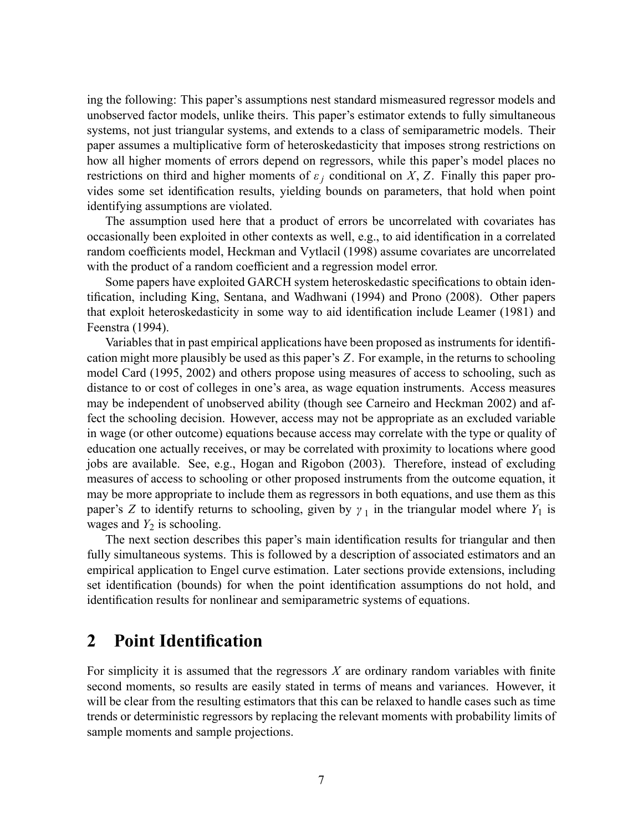ing the following: This paper's assumptions nest standard mismeasured regressor models and unobserved factor models, unlike theirs. This paper's estimator extends to fully simultaneous systems, not just triangular systems, and extends to a class of semiparametric models. Their paper assumes a multiplicative form of heteroskedasticity that imposes strong restrictions on how all higher moments of errors depend on regressors, while this paper's model places no restrictions on third and higher moments of  $\varepsilon_i$  conditional on X, Z. Finally this paper provides some set identification results, yielding bounds on parameters, that hold when point identifying assumptions are violated.

The assumption used here that a product of errors be uncorrelated with covariates has occasionally been exploited in other contexts as well, e.g., to aid identification in a correlated random coefficients model, Heckman and Vytlacil (1998) assume covariates are uncorrelated with the product of a random coefficient and a regression model error.

Some papers have exploited GARCH system heteroskedastic specifications to obtain identification, including King, Sentana, and Wadhwani (1994) and Prono (2008). Other papers that exploit heteroskedasticity in some way to aid identification include Leamer (1981) and Feenstra (1994).

Variables that in past empirical applications have been proposed as instruments for identification might more plausibly be used as this paper's Z. For example, in the returns to schooling model Card (1995, 2002) and others propose using measures of access to schooling, such as distance to or cost of colleges in one's area, as wage equation instruments. Access measures may be independent of unobserved ability (though see Carneiro and Heckman 2002) and affect the schooling decision. However, access may not be appropriate as an excluded variable in wage (or other outcome) equations because access may correlate with the type or quality of education one actually receives, or may be correlated with proximity to locations where good jobs are available. See, e.g., Hogan and Rigobon (2003). Therefore, instead of excluding measures of access to schooling or other proposed instruments from the outcome equation, it may be more appropriate to include them as regressors in both equations, and use them as this paper's Z to identify returns to schooling, given by  $\gamma_1$  in the triangular model where  $Y_1$  is wages and  $Y_2$  is schooling.

The next section describes this paper's main identification results for triangular and then fully simultaneous systems. This is followed by a description of associated estimators and an empirical application to Engel curve estimation. Later sections provide extensions, including set identification (bounds) for when the point identification assumptions do not hold, and identification results for nonlinear and semiparametric systems of equations.

# 2 Point Identification

For simplicity it is assumed that the regressors  $X$  are ordinary random variables with finite second moments, so results are easily stated in terms of means and variances. However, it will be clear from the resulting estimators that this can be relaxed to handle cases such as time trends or deterministic regressors by replacing the relevant moments with probability limits of sample moments and sample projections.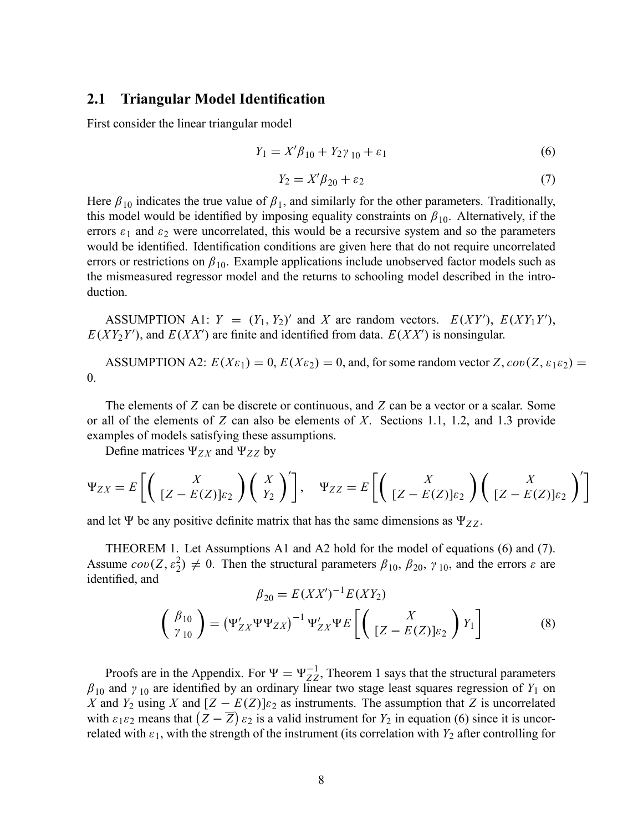### 2.1 Triangular Model Identification

First consider the linear triangular model

$$
Y_1 = X'\beta_{10} + Y_2\gamma_{10} + \varepsilon_1\tag{6}
$$

$$
Y_2 = X' \beta_{20} + \varepsilon_2 \tag{7}
$$

Here  $\beta_{10}$  indicates the true value of  $\beta_1$ , and similarly for the other parameters. Traditionally, this model would be identified by imposing equality constraints on  $\beta_{10}$ . Alternatively, if the errors  $\varepsilon_1$  and  $\varepsilon_2$  were uncorrelated, this would be a recursive system and so the parameters would be identified. Identification conditions are given here that do not require uncorrelated errors or restrictions on  $\beta_{10}$ . Example applications include unobserved factor models such as the mismeasured regressor model and the returns to schooling model described in the introduction.

ASSUMPTION A1:  $Y = (Y_1, Y_2)'$  and X are random vectors.  $E(XY')$ ,  $E(XY_1Y')$ ,  $E(XY_2Y')$ , and  $E(XX')$  are finite and identified from data.  $E(XX')$  is nonsingular.

ASSUMPTION A2:  $E(X_{\epsilon_1}) = 0$ ,  $E(X_{\epsilon_2}) = 0$ , and, for some random vector Z,  $cov(Z, \epsilon_1 \epsilon_2) = 0$ 0.

The elements of Z can be discrete or continuous, and Z can be a vector or a scalar. Some or all of the elements of  $Z$  can also be elements of  $X$ . Sections 1.1, 1.2, and 1.3 provide examples of models satisfying these assumptions.

Define matrices  $\Psi_{ZX}$  and  $\Psi_{ZZ}$  by

$$
\Psi_{ZX} = E\left[\left(\begin{array}{c} X \\ [Z - E(Z)]\varepsilon_2 \end{array}\right) \left(\begin{array}{c} X \\ Y_2 \end{array}\right)^T\right], \quad \Psi_{ZZ} = E\left[\left(\begin{array}{c} X \\ [Z - E(Z)]\varepsilon_2 \end{array}\right) \left(\begin{array}{c} X \\ [Z - E(Z)]\varepsilon_2 \end{array}\right)^T\right]
$$

and let  $\Psi$  be any positive definite matrix that has the same dimensions as  $\Psi_{ZZ}$ .

THEOREM 1. Let Assumptions A1 and A2 hold for the model of equations (6) and (7). Assume  $cov(Z, \varepsilon_2^2) \neq 0$ . Then the structural parameters  $\beta_{10}, \beta_{20}, \gamma_{10}$ , and the errors  $\varepsilon$  are identified, and

$$
\beta_{20} = E(XX')^{-1}E(XY_2)
$$
\n
$$
\begin{pmatrix}\n\beta_{10} \\
\gamma_{10}\n\end{pmatrix} = (\Psi'_{ZX}\Psi\Psi_{ZX})^{-1}\Psi'_{ZX}\Psi E \left[ \begin{pmatrix} X \\ [Z - E(Z)]\varepsilon_2 \end{pmatrix} Y_1 \right]
$$
\n(8)

Proofs are in the Appendix. For  $\Psi = \Psi_{ZZ}^{-1}$ , Theorem 1 says that the structural parameters  $\beta_{10}$  and  $\gamma_{10}$  are identified by an ordinary linear two stage least squares regression of  $Y_1$  on X and  $Y_2$  using X and  $[Z - E(Z)]_{\epsilon_2}$  as instruments. The assumption that Z is uncorrelated with  $\varepsilon_1 \varepsilon_2$  means that  $(Z - \overline{Z}) \varepsilon_2$  is a valid instrument for  $Y_2$  in equation (6) since it is uncorrelated with  $\varepsilon_1$ , with the strength of the instrument (its correlation with  $Y_2$  after controlling for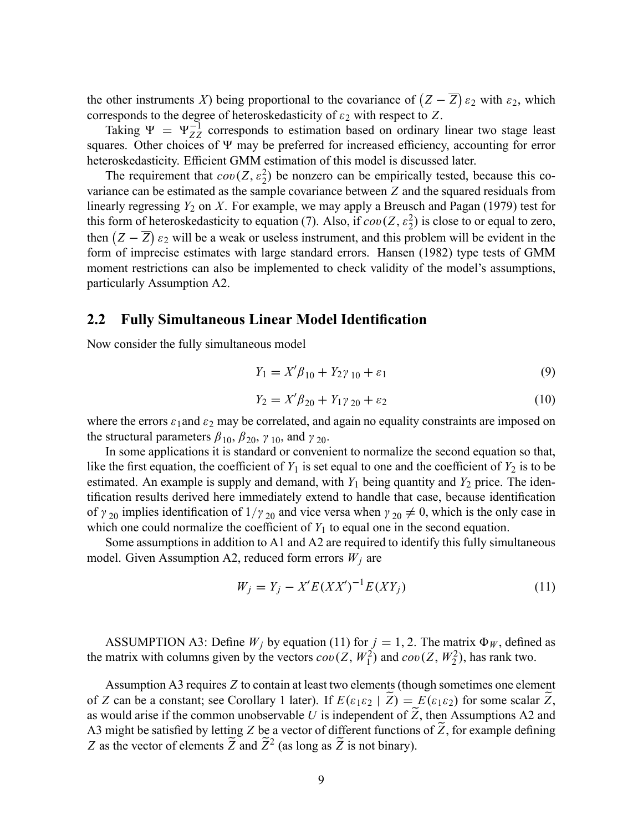the other instruments X) being proportional to the covariance of  $(Z - \overline{Z}) \varepsilon_2$  with  $\varepsilon_2$ , which corresponds to the degree of heteroskedasticity of  $\varepsilon_2$  with respect to Z.

Taking  $\Psi = \Psi_{ZZ}^{-1}$  corresponds to estimation based on ordinary linear two stage least squares. Other choices of  $\Psi$  may be preferred for increased efficiency, accounting for error heteroskedasticity. Efficient GMM estimation of this model is discussed later.

The requirement that  $cov(Z, \varepsilon_2^2)$  be nonzero can be empirically tested, because this covariance can be estimated as the sample covariance between Z and the squared residuals from linearly regressing  $Y_2$  on X. For example, we may apply a Breusch and Pagan (1979) test for this form of heteroskedasticity to equation (7). Also, if  $cov(Z, \varepsilon_2^2)$  is close to or equal to zero, then  $(Z - \overline{Z}) \varepsilon_2$  will be a weak or useless instrument, and this problem will be evident in the form of imprecise estimates with large standard errors. Hansen (1982) type tests of GMM moment restrictions can also be implemented to check validity of the model's assumptions, particularly Assumption A2.

### 2.2 Fully Simultaneous Linear Model Identification

Now consider the fully simultaneous model

$$
Y_1 = X' \beta_{10} + Y_2 \gamma_{10} + \varepsilon_1 \tag{9}
$$

$$
Y_2 = X' \beta_{20} + Y_1 \gamma_{20} + \varepsilon_2 \tag{10}
$$

where the errors  $\varepsilon_1$  and  $\varepsilon_2$  may be correlated, and again no equality constraints are imposed on the structural parameters  $\beta_{10}$ ,  $\beta_{20}$ ,  $\gamma_{10}$ , and  $\gamma_{20}$ .

In some applications it is standard or convenient to normalize the second equation so that, like the first equation, the coefficient of  $Y_1$  is set equal to one and the coefficient of  $Y_2$  is to be estimated. An example is supply and demand, with  $Y_1$  being quantity and  $Y_2$  price. The identification results derived here immediately extend to handle that case, because identification of  $\gamma_{20}$  implies identification of  $1/\gamma_{20}$  and vice versa when  $\gamma_{20} \neq 0$ , which is the only case in which one could normalize the coefficient of  $Y_1$  to equal one in the second equation.

Some assumptions in addition to A1 and A2 are required to identify this fully simultaneous model. Given Assumption A2, reduced form errors  $W_i$  are

$$
W_j = Y_j - X'E(XX')^{-1}E(XY_j)
$$
\n(11)

ASSUMPTION A3: Define  $W_j$  by equation (11) for  $j = 1, 2$ . The matrix  $\Phi_W$ , defined as the matrix with columns given by the vectors  $cov(Z, W_1^2)$  and  $cov(Z, W_2^2)$ , has rank two.

Assumption A3 requires Z to contain at least two elements (though sometimes one element of Z can be a constant; see Corollary 1 later). If  $E(\varepsilon_1 \varepsilon_2 | \tilde{Z}) = E(\varepsilon_1 \varepsilon_2)$  for some scalar  $\tilde{Z}$ , as would arise if the common unobservable U is independent of  $\widetilde{Z}$ , then Assumptions A2 and A3 might be satisfied by letting Z be a vector of different functions of Z, for example defining Z as the vector of elements  $\widetilde{Z}$  and  $\widetilde{Z}^2$  (as long as  $\widetilde{Z}$  is not binary).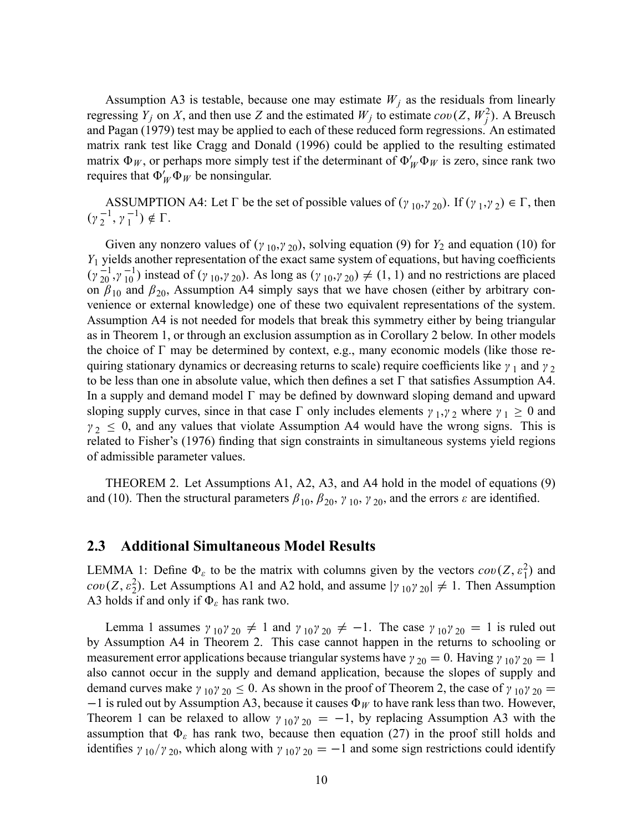Assumption A3 is testable, because one may estimate  $W_j$  as the residuals from linearly regressing  $Y_j$  on X, and then use Z and the estimated  $W_j$  to estimate  $cov(Z, W_j^2)$ . A Breusch and Pagan (1979) test may be applied to each of these reduced form regressions. An estimated matrix rank test like Cragg and Donald (1996) could be applied to the resulting estimated matrix  $\Phi_W$ , or perhaps more simply test if the determinant of  $\Phi_W' \Phi_W$  is zero, since rank two requires that  $\Phi_W' \Phi_W$  be nonsingular.

ASSUMPTION A4: Let  $\Gamma$  be the set of possible values of  $(\gamma_{10}, \gamma_{20})$ . If  $(\gamma_1, \gamma_2) \in \Gamma$ , then  $(\gamma_2^{-1}, \gamma_1^{-1}) \notin \Gamma.$ 

Given any nonzero values of  $(y_{10}, y_{20})$ , solving equation (9) for  $Y_2$  and equation (10) for  $Y_1$  yields another representation of the exact same system of equations, but having coefficients  $(\gamma_{20}^{-1}, \gamma_{10}^{-1})$  instead of  $(\gamma_{10}, \gamma_{20})$ . As long as  $(\gamma_{10}, \gamma_{20}) \neq (1, 1)$  and no restrictions are placed on  $\beta_{10}$  and  $\beta_{20}$ , Assumption A4 simply says that we have chosen (either by arbitrary convenience or external knowledge) one of these two equivalent representations of the system. Assumption A4 is not needed for models that break this symmetry either by being triangular as in Theorem 1, or through an exclusion assumption as in Corollary 2 below. In other models the choice of  $\Gamma$  may be determined by context, e.g., many economic models (like those requiring stationary dynamics or decreasing returns to scale) require coefficients like  $\gamma_1$  and  $\gamma_2$ to be less than one in absolute value, which then defines a set  $\Gamma$  that satisfies Assumption A4. In a supply and demand model  $\Gamma$  may be defined by downward sloping demand and upward sloping supply curves, since in that case  $\Gamma$  only includes elements  $\gamma_1, \gamma_2$  where  $\gamma_1 \ge 0$  and  $\gamma_2 \leq 0$ , and any values that violate Assumption A4 would have the wrong signs. This is related to Fisher's (1976) finding that sign constraints in simultaneous systems yield regions of admissible parameter values.

THEOREM 2. Let Assumptions A1, A2, A3, and A4 hold in the model of equations (9) and (10). Then the structural parameters  $\beta_{10}$ ,  $\beta_{20}$ ,  $\gamma_{10}$ ,  $\gamma_{20}$ , and the errors  $\varepsilon$  are identified.

### 2.3 Additional Simultaneous Model Results

LEMMA 1: Define  $\Phi_{\varepsilon}$  to be the matrix with columns given by the vectors  $cov(Z, \varepsilon_1^2)$  and  $cov(Z, \varepsilon_2^2)$ . Let Assumptions A1 and A2 hold, and assume  $|\gamma_{10}\gamma_{20}| \neq 1$ . Then Assumption A3 holds if and only if  $\Phi_{\varepsilon}$  has rank two.

Lemma 1 assumes  $\gamma_{10}\gamma_{20} \neq 1$  and  $\gamma_{10}\gamma_{20} \neq -1$ . The case  $\gamma_{10}\gamma_{20} = 1$  is ruled out by Assumption A4 in Theorem 2. This case cannot happen in the returns to schooling or measurement error applications because triangular systems have  $\gamma_{20} = 0$ . Having  $\gamma_{10}\gamma_{20} = 1$ also cannot occur in the supply and demand application, because the slopes of supply and demand curves make  $\gamma_{10}\gamma_{20} \le 0$ . As shown in the proof of Theorem 2, the case of  $\gamma_{10}\gamma_{20} =$  $-1$  is ruled out by Assumption A3, because it causes  $\Phi_W$  to have rank less than two. However, Theorem 1 can be relaxed to allow  $\gamma_{10}\gamma_{20} = -1$ , by replacing Assumption A3 with the assumption that  $\Phi_{\varepsilon}$  has rank two, because then equation (27) in the proof still holds and identifies  $\gamma_{10}/\gamma_{20}$ , which along with  $\gamma_{10}\gamma_{20} = -1$  and some sign restrictions could identify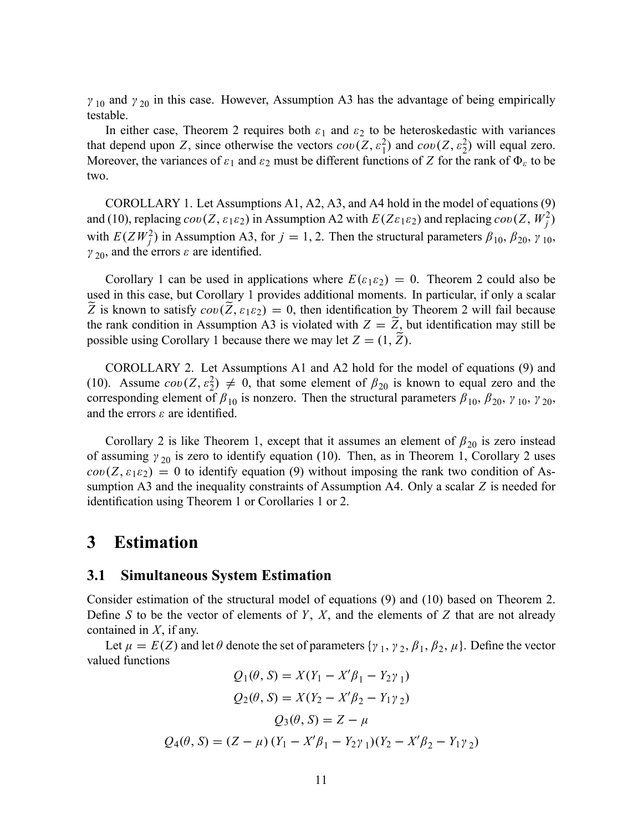$\gamma_{10}$  and  $\gamma_{20}$  in this case. However, Assumption A3 has the advantage of being empirically testable.

In either case, Theorem 2 requires both  $\varepsilon_1$  and  $\varepsilon_2$  to be heteroskedastic with variances that depend upon Z, since otherwise the vectors  $cov(Z, \varepsilon_1^2)$  and  $cov(Z, \varepsilon_2^2)$  will equal zero. Moreover, the variances of  $\varepsilon_1$  and  $\varepsilon_2$  must be different functions of Z for the rank of  $\Phi_{\varepsilon}$  to be two.

COROLLARY 1. Let Assumptions A1, A2, A3, and A4 hold in the model of equations (9) and (10), replacing  $cov(Z, \varepsilon_1 \varepsilon_2)$  in Assumption A2 with  $E(Z \varepsilon_1 \varepsilon_2)$  and replacing  $cov(Z, W_j^2)$ with  $E(ZW_j^2)$  in Assumption A3, for  $j = 1, 2$ . Then the structural parameters  $\beta_{10}, \beta_{20}, \gamma_{10}$ ,  $\gamma_{20}$ , and the errors  $\varepsilon$  are identified.

Corollary 1 can be used in applications where  $E(\varepsilon_1 \varepsilon_2) = 0$ . Theorem 2 could also be used in this case, but Corollary 1 provides additional moments. In particular, if only a scalar Z is known to satisfy  $cov(Z, \varepsilon_1 \varepsilon_2) = 0$ , then identification by Theorem 2 will fail because the rank condition in Assumption A3 is violated with  $Z = Z$ , but identification may still be possible using Corollary 1 because there we may let  $Z = (1, \tilde{Z})$ .

COROLLARY 2. Let Assumptions A1 and A2 hold for the model of equations (9) and (10). Assume  $cov(Z, \varepsilon_2^2) \neq 0$ , that some element of  $\beta_{20}$  is known to equal zero and the corresponding element of  $\beta_{10}$  is nonzero. Then the structural parameters  $\beta_{10}$ ,  $\beta_{20}$ ,  $\gamma_{10}$ ,  $\gamma_{20}$ , and the errors  $\varepsilon$  are identified.

Corollary 2 is like Theorem 1, except that it assumes an element of  $\beta_{20}$  is zero instead of assuming  $\gamma_{20}$  is zero to identify equation (10). Then, as in Theorem 1, Corollary 2 uses  $cov(Z, \varepsilon_1 \varepsilon_2) = 0$  to identify equation (9) without imposing the rank two condition of Assumption A3 and the inequality constraints of Assumption A4. Only a scalar Z is needed for identification using Theorem 1 or Corollaries 1 or 2.

### 3 Estimation

### 3.1 Simultaneous System Estimation

Consider estimation of the structural model of equations (9) and (10) based on Theorem 2. Define S to be the vector of elements of Y, X, and the elements of Z that are not already contained in  $X$ , if any.

Let  $\mu = E(Z)$  and let  $\theta$  denote the set of parameters  $\{\gamma_1, \gamma_2, \beta_1, \beta_2, \mu\}$ . Define the vector valued functions

$$
Q_1(\theta, S) = X(Y_1 - X'\beta_1 - Y_2\gamma_1)
$$
  
\n
$$
Q_2(\theta, S) = X(Y_2 - X'\beta_2 - Y_1\gamma_2)
$$
  
\n
$$
Q_3(\theta, S) = Z - \mu
$$
  
\n
$$
Q_4(\theta, S) = (Z - \mu) (Y_1 - X'\beta_1 - Y_2\gamma_1)(Y_2 - X'\beta_2 - Y_1\gamma_2)
$$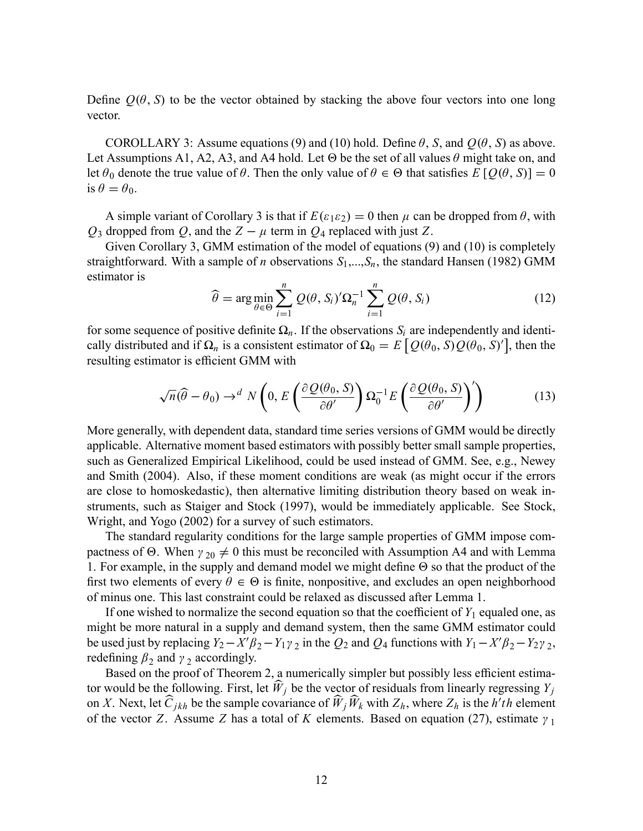Define  $Q(\theta, S)$  to be the vector obtained by stacking the above four vectors into one long vector.

COROLLARY 3: Assume equations (9) and (10) hold. Define  $\theta$ , S, and  $Q(\theta, S)$  as above. Let Assumptions A1, A2, A3, and A4 hold. Let  $\Theta$  be the set of all values  $\theta$  might take on, and let  $\theta_0$  denote the true value of  $\theta$ . Then the only value of  $\theta \in \Theta$  that satisfies  $E\left[Q(\theta, S)\right] = 0$ is  $\theta = \theta_0$ .

A simple variant of Corollary 3 is that if  $E(\varepsilon_1 \varepsilon_2) = 0$  then  $\mu$  can be dropped from  $\theta$ , with  $Q_3$  dropped from Q, and the  $Z - \mu$  term in  $Q_4$  replaced with just Z.

Given Corollary 3, GMM estimation of the model of equations (9) and (10) is completely straightforward. With a sample of *n* observations  $S_1, ..., S_n$ , the standard Hansen (1982) GMM estimator is

$$
\widehat{\theta} = \arg \min_{\theta \in \Theta} \sum_{i=1}^{n} Q(\theta, S_i)' \Omega_n^{-1} \sum_{i=1}^{n} Q(\theta, S_i)
$$
\n(12)

for some sequence of positive definite  $\Omega_n$ . If the observations  $S_i$  are independently and identically distributed and if  $\Omega_n$  is a consistent estimator of  $\Omega_0 = E \left[ Q(\theta_0, S) Q(\theta_0, S)' \right]$ , then the resulting estimator is efficient GMM with

$$
\sqrt{n}(\widehat{\theta} - \theta_0) \to^d N\left(0, E\left(\frac{\partial Q(\theta_0, S)}{\partial \theta'}\right) \Omega_0^{-1} E\left(\frac{\partial Q(\theta_0, S)}{\partial \theta'}\right)'\right) \tag{13}
$$

More generally, with dependent data, standard time series versions of GMM would be directly applicable. Alternative moment based estimators with possibly better small sample properties, such as Generalized Empirical Likelihood, could be used instead of GMM. See, e.g., Newey and Smith (2004). Also, if these moment conditions are weak (as might occur if the errors are close to homoskedastic), then alternative limiting distribution theory based on weak instruments, such as Staiger and Stock (1997), would be immediately applicable. See Stock, Wright, and Yogo (2002) for a survey of such estimators.

The standard regularity conditions for the large sample properties of GMM impose compactness of  $\Theta$ . When  $\gamma_{20} \neq 0$  this must be reconciled with Assumption A4 and with Lemma 1. For example, in the supply and demand model we might define  $\Theta$  so that the product of the first two elements of every  $\theta \in \Theta$  is finite, nonpositive, and excludes an open neighborhood of minus one. This last constraint could be relaxed as discussed after Lemma 1.

If one wished to normalize the second equation so that the coefficient of  $Y_1$  equaled one, as might be more natural in a supply and demand system, then the same GMM estimator could be used just by replacing  $Y_2 - X'\beta_2 - Y_1\gamma_2$  in the  $Q_2$  and  $Q_4$  functions with  $Y_1 - X'\beta_2 - Y_2\gamma_2$ , redefining  $\beta_2$  and  $\gamma_2$  accordingly.

Based on the proof of Theorem 2, a numerically simpler but possibly less efficient estimator would be the following. First, let  $\widehat{W}_j$  be the vector of residuals from linearly regressing  $Y_j$ on X. Next, let  $C_{jkh}$  be the sample covariance of  $W_j W_k$  with  $Z_h$ , where  $Z_h$  is the h'th element of the vector Z. Assume Z has a total of K elements. Based on equation (27), estimate  $\gamma_1$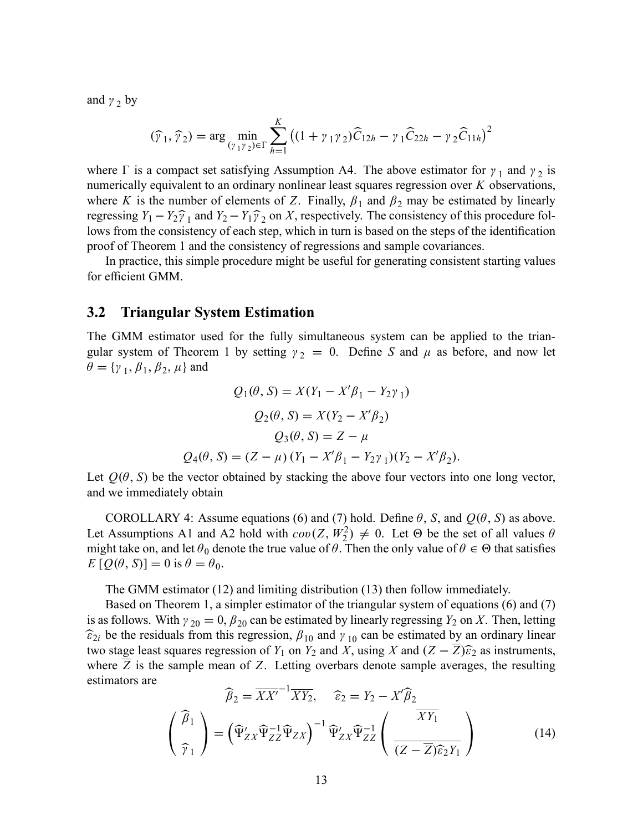and  $\gamma$ <sub>2</sub> by

$$
(\widehat{\gamma}_1, \widehat{\gamma}_2) = \arg \min_{(\gamma_1 \gamma_2) \in \Gamma} \sum_{h=1}^K ((1 + \gamma_1 \gamma_2) \widehat{C}_{12h} - \gamma_1 \widehat{C}_{22h} - \gamma_2 \widehat{C}_{11h})^2
$$

where  $\Gamma$  is a compact set satisfying Assumption A4. The above estimator for  $\gamma_1$  and  $\gamma_2$  is numerically equivalent to an ordinary nonlinear least squares regression over K observations, where K is the number of elements of Z. Finally,  $\beta_1$  and  $\beta_2$  may be estimated by linearly regressing  $Y_1 - Y_2 \hat{Y}_1$  and  $Y_2 - Y_1 \hat{Y}_2$  on X, respectively. The consistency of this procedure follows from the consistency of each step, which in turn is based on the steps of the identification proof of Theorem 1 and the consistency of regressions and sample covariances.

In practice, this simple procedure might be useful for generating consistent starting values for efficient GMM.

### 3.2 Triangular System Estimation

The GMM estimator used for the fully simultaneous system can be applied to the triangular system of Theorem 1 by setting  $\gamma_2 = 0$ . Define S and  $\mu$  as before, and now let  $\theta = \{\gamma_1, \beta_1, \beta_2, \mu\}$  and

$$
Q_1(\theta, S) = X(Y_1 - X'\beta_1 - Y_2\gamma_1)
$$
  
\n
$$
Q_2(\theta, S) = X(Y_2 - X'\beta_2)
$$
  
\n
$$
Q_3(\theta, S) = Z - \mu
$$
  
\n
$$
Q_4(\theta, S) = (Z - \mu) (Y_1 - X'\beta_1 - Y_2\gamma_1)(Y_2 - X'\beta_2).
$$

Let  $Q(\theta, S)$  be the vector obtained by stacking the above four vectors into one long vector, and we immediately obtain

COROLLARY 4: Assume equations (6) and (7) hold. Define  $\theta$ , S, and  $Q(\theta, S)$  as above. Let Assumptions A1 and A2 hold with  $cov(Z, W_2^2) \neq 0$ . Let  $\Theta$  be the set of all values  $\theta$ might take on, and let  $\theta_0$  denote the true value of  $\theta$ . Then the only value of  $\theta \in \Theta$  that satisfies  $E[Q(\theta, S)] = 0$  is  $\theta = \theta_0$ .

The GMM estimator (12) and limiting distribution (13) then follow immediately.

Based on Theorem 1, a simpler estimator of the triangular system of equations (6) and (7) is as follows. With  $\gamma_{20} = 0$ ,  $\beta_{20}$  can be estimated by linearly regressing  $Y_2$  on X. Then, letting  $\hat{\epsilon}_{2i}$  be the residuals from this regression,  $\beta_{10}$  and  $\gamma_{10}$  can be estimated by an ordinary linear two stage least squares regression of  $Y_1$  on  $Y_2$  and  $X$ , using X and  $(Z - \overline{Z})\widehat{\epsilon}_2$  as instruments, where  $Z$  is the sample mean of  $Z$ . Letting overbars denote sample averages, the resulting estimators are

$$
\widehat{\beta}_2 = \overline{XX'}^{-1} \overline{XY}_2, \quad \widehat{\varepsilon}_2 = Y_2 - X' \widehat{\beta}_2
$$
\n
$$
\begin{pmatrix}\n\widehat{\beta}_1 \\
\widehat{\gamma}_1\n\end{pmatrix} = \left(\widehat{\Psi}'_{ZX} \widehat{\Psi}_{ZZ}^{-1} \widehat{\Psi}_{ZX}\right)^{-1} \widehat{\Psi}'_{ZX} \widehat{\Psi}_{ZZ}^{-1} \left(\frac{\overline{XY}_1}{(Z - \overline{Z}) \widehat{\varepsilon}_2 Y_1}\right)
$$
\n(14)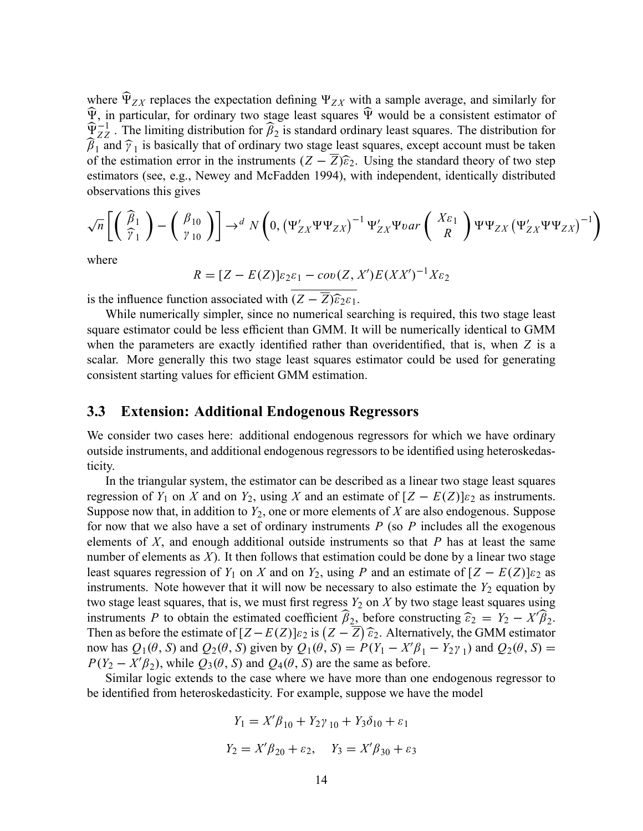where  $\Psi_{ZX}$  replaces the expectation defining  $\Psi_{ZX}$  with a sample average, and similarly for  $\widetilde{\Psi}$ , in particular, for ordinary two stage least squares  $\widetilde{\Psi}$  would be a consistent estimator of  $\widehat{\Psi}_{ZZ}^{-1}$ . The limiting distribution for  $\widehat{\beta}_2$  is standard ordinary least squares. The distribution for  $\beta_1$  and  $\widehat{\gamma}_1$  is basically that of ordinary two stage least squares, except account must be taken of the estimation error in the instruments  $(Z - \overline{Z})\hat{\epsilon}_2$ . Using the standard theory of two step estimators (see, e.g., Newey and McFadden 1994), with independent, identically distributed observations this gives

$$
\sqrt{n}\left[\left(\begin{array}{c} \widehat{\beta}_1\\ \widehat{\gamma}_1\end{array}\right)-\left(\begin{array}{c} \beta_{10}\\ \gamma_{10}\end{array}\right)\right]\rightarrow^d N\left(0,\left(\Psi_{ZX}'\Psi\Psi_{ZX}\right)^{-1}\Psi_{ZX}'\Psi_{0}ar\left(\begin{array}{c} X_{\mathcal{E}_1}\\ R\end{array}\right)\Psi\Psi_{ZX}\left(\Psi_{ZX}'\Psi\Psi_{ZX}\right)^{-1}\right)
$$

where

 $R = [Z - E(Z)]\varepsilon_2\varepsilon_1 - cov(Z, X')E(XX')^{-1}X\varepsilon_2$ 

is the influence function associated with  $(Z - \overline{Z})\widehat{\epsilon}_{2}\epsilon_{1}$ .

While numerically simpler, since no numerical searching is required, this two stage least square estimator could be less efficient than GMM. It will be numerically identical to GMM when the parameters are exactly identified rather than overidentified, that is, when  $Z$  is a scalar. More generally this two stage least squares estimator could be used for generating consistent starting values for efficient GMM estimation.

### 3.3 Extension: Additional Endogenous Regressors

We consider two cases here: additional endogenous regressors for which we have ordinary outside instruments, and additional endogenous regressors to be identified using heteroskedasticity.

In the triangular system, the estimator can be described as a linear two stage least squares regression of  $Y_1$  on X and on  $Y_2$ , using X and an estimate of  $[Z - E(Z)] \varepsilon_2$  as instruments. Suppose now that, in addition to  $Y_2$ , one or more elements of X are also endogenous. Suppose for now that we also have a set of ordinary instruments  $P$  (so  $P$  includes all the exogenous elements of  $X$ , and enough additional outside instruments so that  $P$  has at least the same number of elements as  $X$ ). It then follows that estimation could be done by a linear two stage least squares regression of  $Y_1$  on X and on  $Y_2$ , using P and an estimate of  $[Z - E(Z)] \varepsilon_2$  as instruments. Note however that it will now be necessary to also estimate the  $Y_2$  equation by two stage least squares, that is, we must first regress  $Y_2$  on X by two stage least squares using instruments P to obtain the estimated coefficient  $\beta_2$ , before constructing  $\widehat{\epsilon}_2 = Y_2 - X'\beta_2$ .<br>Then as hefore the estimate of  $\widehat{\epsilon}_2 = \widehat{\epsilon}_2$ . A literatural the CMM estimates Then as before the estimate of  $[Z - E(Z)] \varepsilon_2$  is  $(Z - \overline{Z}) \hat{\varepsilon}_2$ . Alternatively, the GMM estimator now has  $Q_1(\theta, S)$  and  $Q_2(\theta, S)$  given by  $Q_1(\theta, S) = P(Y_1 - X'\beta_1 - Y_2\gamma_1)$  and  $Q_2(\theta, S) = P(Y_1 - Y_2\gamma_1)$  $P(Y_2 - X'\beta_2)$ , while  $Q_3(\theta, S)$  and  $Q_4(\theta, S)$  are the same as before.

Similar logic extends to the case where we have more than one endogenous regressor to be identified from heteroskedasticity. For example, suppose we have the model

$$
Y_1 = X'\beta_{10} + Y_2\gamma_{10} + Y_3\delta_{10} + \varepsilon_1
$$
  

$$
Y_2 = X'\beta_{20} + \varepsilon_2, \quad Y_3 = X'\beta_{30} + \varepsilon_3
$$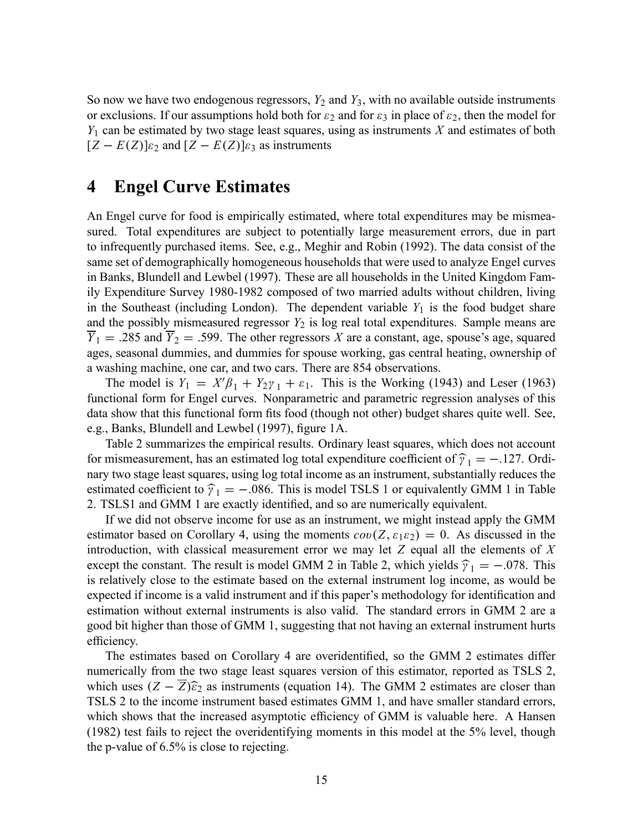So now we have two endogenous regressors,  $Y_2$  and  $Y_3$ , with no available outside instruments or exclusions. If our assumptions hold both for  $\varepsilon_2$  and for  $\varepsilon_3$  in place of  $\varepsilon_2$ , then the model for  $Y_1$  can be estimated by two stage least squares, using as instruments X and estimates of both  $[Z - E(Z)]_{\epsilon_2}$  and  $[Z - E(Z)]_{\epsilon_3}$  as instruments

# 4 Engel Curve Estimates

An Engel curve for food is empirically estimated, where total expenditures may be mismeasured. Total expenditures are subject to potentially large measurement errors, due in part to infrequently purchased items. See, e.g., Meghir and Robin (1992). The data consist of the same set of demographically homogeneous households that were used to analyze Engel curves in Banks, Blundell and Lewbel (1997). These are all households in the United Kingdom Family Expenditure Survey 1980-1982 composed of two married adults without children, living in the Southeast (including London). The dependent variable  $Y_1$  is the food budget share and the possibly mismeasured regressor  $Y_2$  is log real total expenditures. Sample means are  $\overline{Y}_1 = .285$  and  $\overline{Y}_2 = .599$ . The other regressors X are a constant, age, spouse's age, squared ages, seasonal dummies, and dummies for spouse working, gas central heating, ownership of a washing machine, one car, and two cars. There are 854 observations.

The model is  $Y_1 = X'\beta_1 + Y_2\gamma_1 + \varepsilon_1$ . This is the Working (1943) and Leser (1963) functional form for Engel curves. Nonparametric and parametric regression analyses of this data show that this functional form fits food (though not other) budget shares quite well. See, e.g., Banks, Blundell and Lewbel (1997), figure 1A.

Table 2 summarizes the empirical results. Ordinary least squares, which does not account for mismeasurement, has an estimated log total expenditure coefficient of  $\hat{\gamma}_1 = -.127$ . Ordi-<br>negatives there leads expense with a located income as an instrument, substantially reduces the nary two stage least squares, using log total income as an instrument, substantially reduces the estimated coefficient to  $\hat{\gamma}_1 = -.086$ . This is model TSLS 1 or equivalently GMM 1 in Table 2. TSLS1 and GMM 1 are exactly identified, and so are numerically equivalent.

If we did not observe income for use as an instrument, we might instead apply the GMM estimator based on Corollary 4, using the moments  $cov(Z, \varepsilon_1 \varepsilon_2) = 0$ . As discussed in the introduction, with classical measurement error we may let  $Z$  equal all the elements of  $X$ except the constant. The result is model GMM 2 in Table 2, which yields  $\hat{\gamma}_1 = -.078$ . This is relatively close to the estimate based on the external instrument log income, as would be expected if income is a valid instrument and if this paper's methodology for identification and estimation without external instruments is also valid. The standard errors in GMM 2 are a good bit higher than those of GMM 1, suggesting that not having an external instrument hurts efficiency.

The estimates based on Corollary 4 are overidentified, so the GMM 2 estimates differ numerically from the two stage least squares version of this estimator, reported as TSLS 2, which uses  $(Z - \overline{Z})\hat{\epsilon}_2$  as instruments (equation 14). The GMM 2 estimates are closer than TSLS 2 to the income instrument based estimates GMM 1, and have smaller standard errors, which shows that the increased asymptotic efficiency of GMM is valuable here. A Hansen (1982) test fails to reject the overidentifying moments in this model at the 5% level, though the p-value of 6.5% is close to rejecting.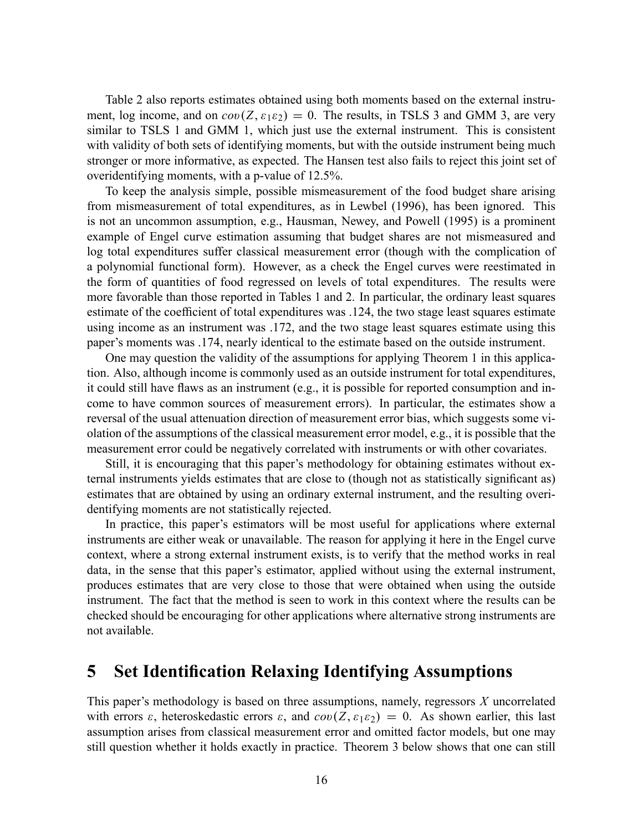Table 2 also reports estimates obtained using both moments based on the external instrument, log income, and on  $cov(Z, \varepsilon_1 \varepsilon_2) = 0$ . The results, in TSLS 3 and GMM 3, are very similar to TSLS 1 and GMM 1, which just use the external instrument. This is consistent with validity of both sets of identifying moments, but with the outside instrument being much stronger or more informative, as expected. The Hansen test also fails to reject this joint set of overidentifying moments, with a p-value of 12.5%.

To keep the analysis simple, possible mismeasurement of the food budget share arising from mismeasurement of total expenditures, as in Lewbel (1996), has been ignored. This is not an uncommon assumption, e.g., Hausman, Newey, and Powell (1995) is a prominent example of Engel curve estimation assuming that budget shares are not mismeasured and log total expenditures suffer classical measurement error (though with the complication of a polynomial functional form). However, as a check the Engel curves were reestimated in the form of quantities of food regressed on levels of total expenditures. The results were more favorable than those reported in Tables 1 and 2. In particular, the ordinary least squares estimate of the coefficient of total expenditures was .124, the two stage least squares estimate using income as an instrument was .172, and the two stage least squares estimate using this paper's moments was .174, nearly identical to the estimate based on the outside instrument.

One may question the validity of the assumptions for applying Theorem 1 in this application. Also, although income is commonly used as an outside instrument for total expenditures, it could still have flaws as an instrument (e.g., it is possible for reported consumption and income to have common sources of measurement errors). In particular, the estimates show a reversal of the usual attenuation direction of measurement error bias, which suggests some violation of the assumptions of the classical measurement error model, e.g., it is possible that the measurement error could be negatively correlated with instruments or with other covariates.

Still, it is encouraging that this paper's methodology for obtaining estimates without external instruments yields estimates that are close to (though not as statistically significant as) estimates that are obtained by using an ordinary external instrument, and the resulting overidentifying moments are not statistically rejected.

In practice, this paper's estimators will be most useful for applications where external instruments are either weak or unavailable. The reason for applying it here in the Engel curve context, where a strong external instrument exists, is to verify that the method works in real data, in the sense that this paper's estimator, applied without using the external instrument, produces estimates that are very close to those that were obtained when using the outside instrument. The fact that the method is seen to work in this context where the results can be checked should be encouraging for other applications where alternative strong instruments are not available.

# 5 Set Identification Relaxing Identifying Assumptions

This paper's methodology is based on three assumptions, namely, regressors  $X$  uncorrelated with errors  $\varepsilon$ , heteroskedastic errors  $\varepsilon$ , and  $cov(Z, \varepsilon_1 \varepsilon_2) = 0$ . As shown earlier, this last assumption arises from classical measurement error and omitted factor models, but one may still question whether it holds exactly in practice. Theorem 3 below shows that one can still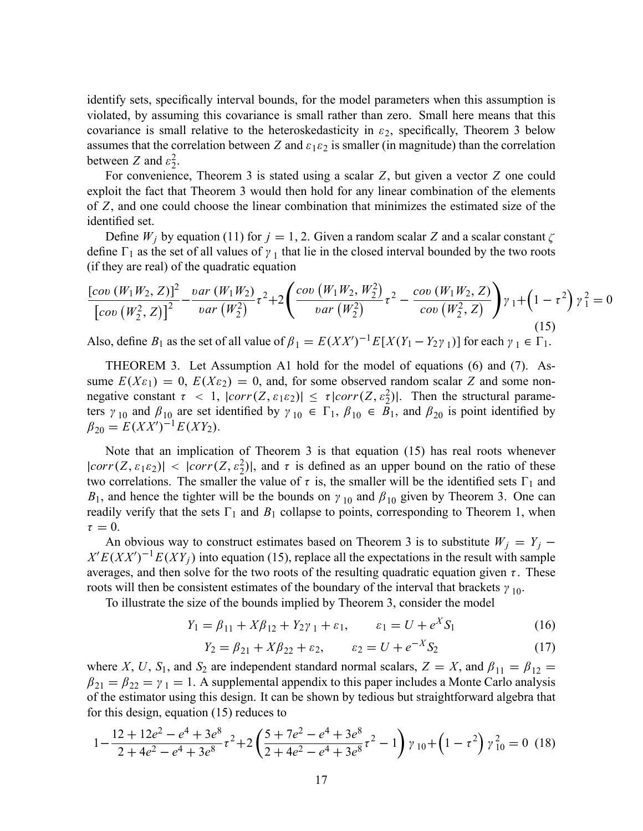identify sets, specifically interval bounds, for the model parameters when this assumption is violated, by assuming this covariance is small rather than zero. Small here means that this covariance is small relative to the heteroskedasticity in  $\varepsilon_2$ , specifically, Theorem 3 below assumes that the correlation between Z and  $\varepsilon_1 \varepsilon_2$  is smaller (in magnitude) than the correlation between Z and  $\varepsilon_2^2$  $\frac{2}{2}$ .

For convenience, Theorem 3 is stated using a scalar Z, but given a vector Z one could exploit the fact that Theorem 3 would then hold for any linear combination of the elements of Z, and one could choose the linear combination that minimizes the estimated size of the identified set.

Define  $W_j$  by equation (11) for  $j = 1, 2$ . Given a random scalar Z and a scalar constant  $\zeta$ define  $\Gamma_1$  as the set of all values of  $\gamma_1$  that lie in the closed interval bounded by the two roots (if they are real) of the quadratic equation

$$
\frac{\left[cov\left(W_{1}W_{2},Z\right)\right]^{2}}{\left[cov\left(W_{2}^{2},Z\right)\right]^{2}} - \frac{var\left(W_{1}W_{2}\right)}{var\left(W_{2}^{2}\right)}\tau^{2} + 2\left(\frac{cov\left(W_{1}W_{2},W_{2}^{2}\right)}{var\left(W_{2}^{2}\right)}\tau^{2} - \frac{cov\left(W_{1}W_{2},Z\right)}{cov\left(W_{2}^{2},Z\right)}\right)\gamma_{1} + \left(1-\tau^{2}\right)\gamma_{1}^{2} = 0\tag{15}
$$

Also, define  $B_1$  as the set of all value of  $\beta_1 = E(XX')^{-1}E[X(Y_1 - Y_2\gamma_1)]$  for each  $\gamma_1 \in \Gamma_1$ .

THEOREM 3. Let Assumption A1 hold for the model of equations (6) and (7). Assume  $E(X_{\epsilon_1}) = 0$ ,  $E(X_{\epsilon_2}) = 0$ , and, for some observed random scalar Z and some nonnegative constant  $\tau < 1$ ,  $|corr(Z, \varepsilon_1 \varepsilon_2)| \leq \tau |corr(Z, \varepsilon_2^2)|$ . Then the structural parameters  $\gamma_{10}$  and  $\beta_{10}$  are set identified by  $\gamma_{10} \in \Gamma_1$ ,  $\beta_{10} \in B_1$ , and  $\beta_{20}$  is point identified by  $\beta_{20} = E(XX')^{-1}E(XY_2).$ 

Note that an implication of Theorem 3 is that equation (15) has real roots whenever  $|corr(Z, \varepsilon_1 \varepsilon_2)| < |corr(Z, \varepsilon_2^2)|$ , and  $\tau$  is defined as an upper bound on the ratio of these two correlations. The smaller the value of  $\tau$  is, the smaller will be the identified sets  $\Gamma_1$  and  $B_1$ , and hence the tighter will be the bounds on  $\gamma_{10}$  and  $\beta_{10}$  given by Theorem 3. One can readily verify that the sets  $\Gamma_1$  and  $B_1$  collapse to points, corresponding to Theorem 1, when  $\tau = 0$ .

An obvious way to construct estimates based on Theorem 3 is to substitute  $W_j = Y_j$  $X'E(XX')^{-1}E(XY_j)$  into equation (15), replace all the expectations in the result with sample averages, and then solve for the two roots of the resulting quadratic equation given  $\tau$ . These roots will then be consistent estimates of the boundary of the interval that brackets  $\gamma_{10}$ .

To illustrate the size of the bounds implied by Theorem 3, consider the model

$$
Y_1 = \beta_{11} + X\beta_{12} + Y_2\gamma_1 + \varepsilon_1, \qquad \varepsilon_1 = U + e^X S_1 \tag{16}
$$

$$
Y_2 = \beta_{21} + X\beta_{22} + \varepsilon_2, \qquad \varepsilon_2 = U + e^{-X} S_2 \tag{17}
$$

where X, U, S<sub>1</sub>, and S<sub>2</sub> are independent standard normal scalars,  $Z = X$ , and  $\beta_{11} = \beta_{12} =$  $\beta_{21} = \beta_{22} = \gamma_1 = 1$ . A supplemental appendix to this paper includes a Monte Carlo analysis of the estimator using this design. It can be shown by tedious but straightforward algebra that for this design, equation (15) reduces to

$$
1 - \frac{12 + 12e^2 - e^4 + 3e^8}{2 + 4e^2 - e^4 + 3e^8} \tau^2 + 2 \left( \frac{5 + 7e^2 - e^4 + 3e^8}{2 + 4e^2 - e^4 + 3e^8} \tau^2 - 1 \right) \gamma_{10} + \left( 1 - \tau^2 \right) \gamma_{10}^2 = 0 \tag{18}
$$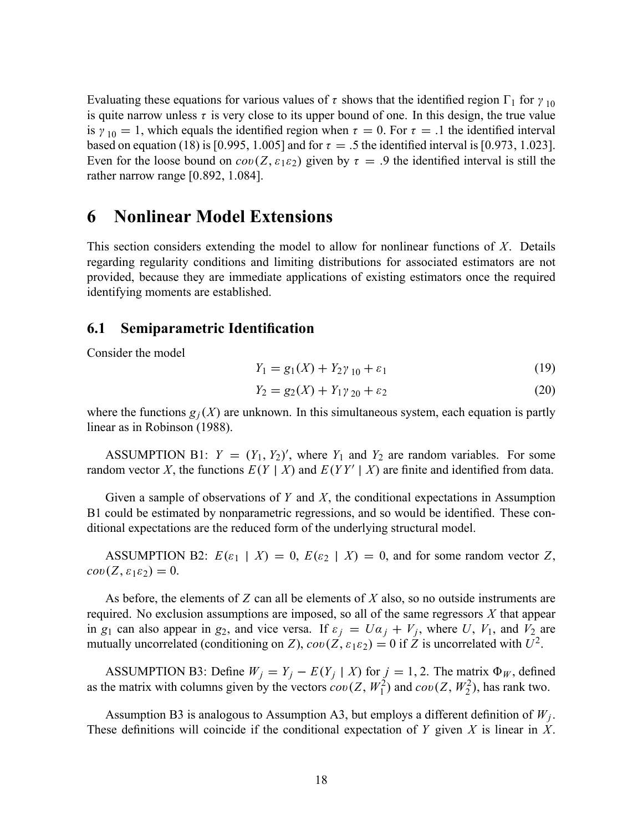Evaluating these equations for various values of  $\tau$  shows that the identified region  $\Gamma_1$  for  $\gamma_{10}$ is quite narrow unless  $\tau$  is very close to its upper bound of one. In this design, the true value is  $\gamma_{10} = 1$ , which equals the identified region when  $\tau = 0$ . For  $\tau = .1$  the identified interval based on equation (18) is [0.995, 1.005] and for  $\tau = .5$  the identified interval is [0.973, 1.023]. Even for the loose bound on  $cov(Z, \varepsilon_1 \varepsilon_2)$  given by  $\tau = .9$  the identified interval is still the rather narrow range  $[0.892, 1.084]$ .

# 6 Nonlinear Model Extensions

This section considers extending the model to allow for nonlinear functions of  $X$ . Details regarding regularity conditions and limiting distributions for associated estimators are not provided, because they are immediate applications of existing estimators once the required identifying moments are established.

### 6.1 Semiparametric Identification

Consider the model

$$
Y_1 = g_1(X) + Y_2 \gamma_{10} + \varepsilon_1 \tag{19}
$$

$$
Y_2 = g_2(X) + Y_1 \gamma_{20} + \varepsilon_2 \tag{20}
$$

where the functions  $g_i(X)$  are unknown. In this simultaneous system, each equation is partly linear as in Robinson (1988).

ASSUMPTION B1:  $Y = (Y_1, Y_2)'$ , where  $Y_1$  and  $Y_2$  are random variables. For some random vector X, the functions  $E(Y | X)$  and  $E(YY' | X)$  are finite and identified from data.

Given a sample of observations of  $Y$  and  $X$ , the conditional expectations in Assumption B1 could be estimated by nonparametric regressions, and so would be identified. These conditional expectations are the reduced form of the underlying structural model.

ASSUMPTION B2:  $E(\varepsilon_1 | X) = 0$ ,  $E(\varepsilon_2 | X) = 0$ , and for some random vector Z,  $cov(Z, \varepsilon_1 \varepsilon_2) = 0.$ 

As before, the elements of  $Z$  can all be elements of  $X$  also, so no outside instruments are required. No exclusion assumptions are imposed, so all of the same regressors  $X$  that appear in  $g_1$  can also appear in  $g_2$ , and vice versa. If  $\varepsilon_j = U \alpha_j + V_j$ , where U,  $V_1$ , and  $V_2$  are mutually uncorrelated (conditioning on Z),  $cov(\vec{Z}, \varepsilon_1 \varepsilon_2) = 0$  if  $\vec{Z}$  is uncorrelated with  $U^2$ .

ASSUMPTION B3: Define  $W_j = Y_j - E(Y_j | X)$  for  $j = 1, 2$ . The matrix  $\Phi_W$ , defined as the matrix with columns given by the vectors  $cov(Z, W_1^2)$  and  $cov(Z, W_2^2)$ , has rank two.

Assumption B3 is analogous to Assumption A3, but employs a different definition of  $W_j$ . These definitions will coincide if the conditional expectation of Y given X is linear in X.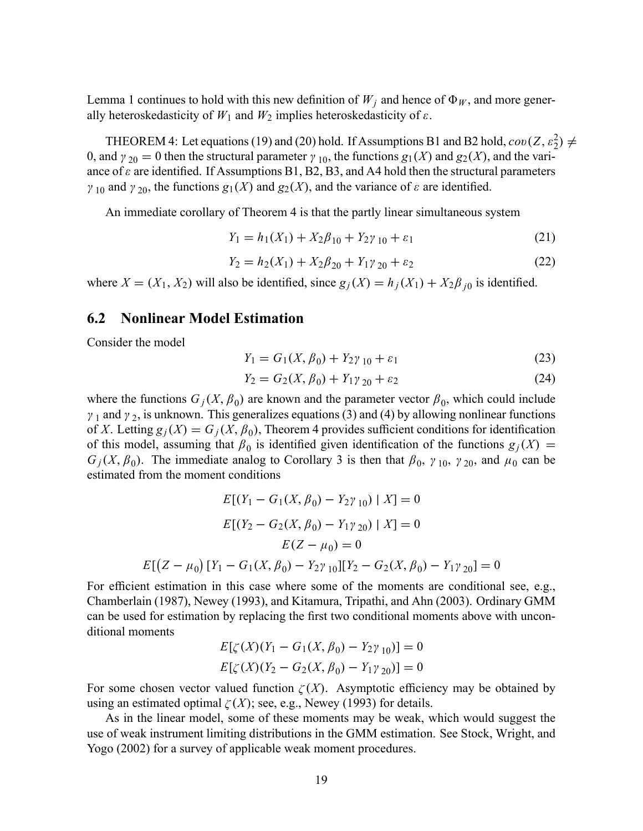Lemma 1 continues to hold with this new definition of  $W_j$  and hence of  $\Phi_W$ , and more generally heteroskedasticity of  $W_1$  and  $W_2$  implies heteroskedasticity of  $\varepsilon$ .

THEOREM 4: Let equations (19) and (20) hold. If Assumptions B1 and B2 hold,  $cov(Z, \varepsilon_2^2) \neq$ 0, and  $\gamma_{20} = 0$  then the structural parameter  $\gamma_{10}$ , the functions  $g_1(X)$  and  $g_2(X)$ , and the variance of  $\varepsilon$  are identified. If Assumptions B1, B2, B3, and A4 hold then the structural parameters  $\gamma_{10}$  and  $\gamma_{20}$ , the functions  $g_1(X)$  and  $g_2(X)$ , and the variance of  $\varepsilon$  are identified.

An immediate corollary of Theorem 4 is that the partly linear simultaneous system

$$
Y_1 = h_1(X_1) + X_2\beta_{10} + Y_2\gamma_{10} + \varepsilon_1 \tag{21}
$$

$$
Y_2 = h_2(X_1) + X_2\beta_{20} + Y_1\gamma_{20} + \varepsilon_2 \tag{22}
$$

where  $X = (X_1, X_2)$  will also be identified, since  $g_j(X) = h_j(X_1) + X_2 \beta_{j0}$  is identified.

### 6.2 Nonlinear Model Estimation

Consider the model

$$
Y_1 = G_1(X, \beta_0) + Y_2 \gamma_{10} + \varepsilon_1 \tag{23}
$$

$$
Y_2 = G_2(X, \beta_0) + Y_1 \gamma_{20} + \varepsilon_2 \tag{24}
$$

where the functions  $G_j(X, \beta_0)$  are known and the parameter vector  $\beta_0$ , which could include  $\gamma_1$  and  $\gamma_2$ , is unknown. This generalizes equations (3) and (4) by allowing nonlinear functions of X. Letting  $g_j(X) = G_j(X, \beta_0)$ , Theorem 4 provides sufficient conditions for identification of this model, assuming that  $\beta_0$  is identified given identification of the functions  $g_j(X) =$  $G_j(X, \beta_0)$ . The immediate analog to Corollary 3 is then that  $\beta_0$ ,  $\gamma_{10}$ ,  $\gamma_{20}$ , and  $\mu_0$  can be estimated from the moment conditions

$$
E[(Y_1 - G_1(X, \beta_0) - Y_2\gamma_{10}) | X] = 0
$$
  
\n
$$
E[(Y_2 - G_2(X, \beta_0) - Y_1\gamma_{20}) | X] = 0
$$
  
\n
$$
E(Z - \mu_0) = 0
$$
  
\n
$$
E[(Z - \mu_0) [Y_1 - G_1(X, \beta_0) - Y_2\gamma_{10}] [Y_2 - G_2(X, \beta_0) - Y_1\gamma_{20}] = 0
$$

For efficient estimation in this case where some of the moments are conditional see, e.g., Chamberlain (1987), Newey (1993), and Kitamura, Tripathi, and Ahn (2003). Ordinary GMM can be used for estimation by replacing the first two conditional moments above with unconditional moments

$$
E[\zeta(X)(Y_1 - G_1(X, \beta_0) - Y_2\gamma_{10})] = 0
$$
  

$$
E[\zeta(X)(Y_2 - G_2(X, \beta_0) - Y_1\gamma_{20})] = 0
$$

For some chosen vector valued function  $\zeta(X)$ . Asymptotic efficiency may be obtained by using an estimated optimal  $\zeta(X)$ ; see, e.g., Newey (1993) for details.

As in the linear model, some of these moments may be weak, which would suggest the use of weak instrument limiting distributions in the GMM estimation. See Stock, Wright, and Yogo (2002) for a survey of applicable weak moment procedures.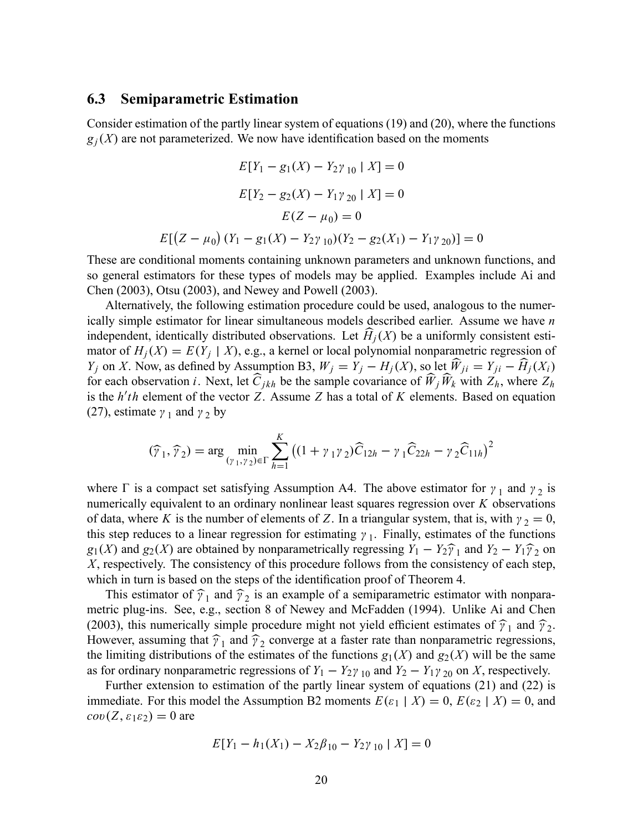### 6.3 Semiparametric Estimation

Consider estimation of the partly linear system of equations (19) and (20), where the functions  $g_j(X)$  are not parameterized. We now have identification based on the moments

$$
E[Y_1 - g_1(X) - Y_2\gamma_{10} | X] = 0
$$
  
\n
$$
E[Y_2 - g_2(X) - Y_1\gamma_{20} | X] = 0
$$
  
\n
$$
E(Z - \mu_0) = 0
$$
  
\n
$$
E[(Z - \mu_0) (Y_1 - g_1(X) - Y_2\gamma_{10})(Y_2 - g_2(X_1) - Y_1\gamma_{20})] = 0
$$

These are conditional moments containing unknown parameters and unknown functions, and so general estimators for these types of models may be applied. Examples include Ai and Chen (2003), Otsu (2003), and Newey and Powell (2003).

Alternatively, the following estimation procedure could be used, analogous to the numerically simple estimator for linear simultaneous models described earlier. Assume we have n independent, identically distributed observations. Let  $H_i(X)$  be a uniformly consistent estimator of  $H_j(X) = E(Y_j | X)$ , e.g., a kernel or local polynomial nonparametric regression of  $Y_j$  on X. Now, as defined by Assumption B3,  $W_j = Y_j - H_j(X)$ , so let  $W_{ji} = Y_{ji} - H_j(X_i)$ for each observation i. Next, let  $\widehat{C}_{jkh}$  be the sample covariance of  $\widehat{W}_j \widehat{W}_k$  with  $Z_h$ , where  $Z_h$ is the  $h'$ th element of the vector Z. Assume Z has a total of K elements. Based on equation (27), estimate  $\gamma_1$  and  $\gamma_2$  by

$$
(\widehat{\gamma}_1, \widehat{\gamma}_2) = \arg \min_{(\gamma_1, \gamma_2) \in \Gamma} \sum_{h=1}^K ((1 + \gamma_1 \gamma_2) \widehat{C}_{12h} - \gamma_1 \widehat{C}_{22h} - \gamma_2 \widehat{C}_{11h})^2
$$

where  $\Gamma$  is a compact set satisfying Assumption A4. The above estimator for  $\gamma_1$  and  $\gamma_2$  is numerically equivalent to an ordinary nonlinear least squares regression over  $K$  observations of data, where K is the number of elements of Z. In a triangular system, that is, with  $\gamma_2 = 0$ , this step reduces to a linear regression for estimating  $\gamma_1$ . Finally, estimates of the functions  $g_1(X)$  and  $g_2(X)$  are obtained by nonparametrically regressing  $Y_1 - Y_2\hat{y}_1$  and  $Y_2 - Y_1\hat{y}_2$  on <br>*X* geometrically. The consistency of this greenedure follows from the consistency of each stan X, respectively. The consistency of this procedure follows from the consistency of each step, which in turn is based on the steps of the identification proof of Theorem 4.

This estimator of  $\hat{\gamma}_1$  and  $\hat{\gamma}_2$  is an example of a semiparametric estimator with nonparametric plug-ins. See, e.g., section 8 of Newey and McFadden (1994). Unlike Ai and Chen (2003), this numerically simple procedure might not yield efficient estimates of  $\hat{\gamma}_1$  and  $\hat{\gamma}_2$ . However, assuming that  $\hat{\gamma}_1$  and  $\hat{\gamma}_2$  converge at a faster rate than nonparametric regressions, the limiting distributions of the estimates of the functions  $g_1(X)$  and  $g_2(X)$  will be the same as for ordinary nonparametric regressions of  $Y_1 - Y_2 \gamma_{10}$  and  $Y_2 - Y_1 \gamma_{20}$  on X, respectively.

Further extension to estimation of the partly linear system of equations (21) and (22) is immediate. For this model the Assumption B2 moments  $E(\varepsilon_1 | X) = 0$ ,  $E(\varepsilon_2 | X) = 0$ , and  $cov(Z, \varepsilon_1 \varepsilon_2) = 0$  are

$$
E[Y_1 - h_1(X_1) - X_2\beta_{10} - Y_2\gamma_{10} | X] = 0
$$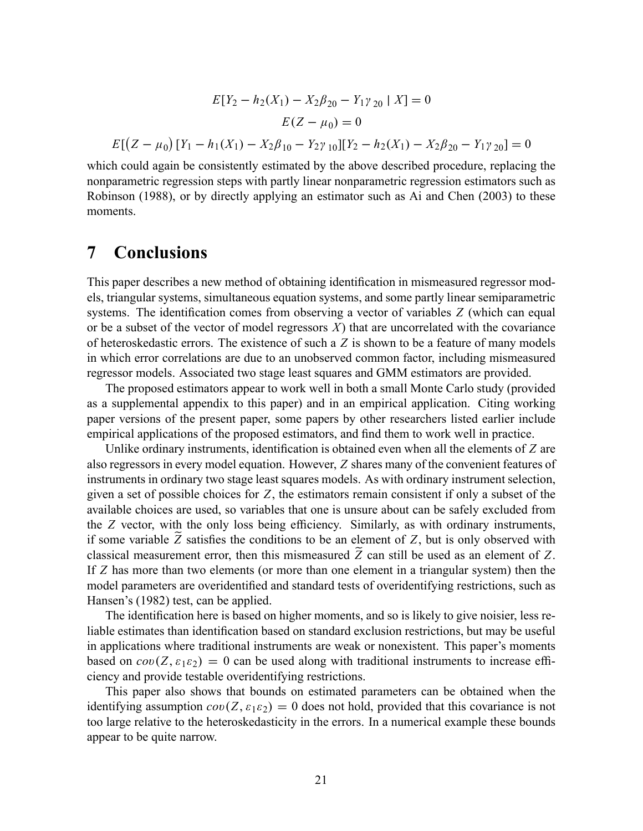$$
E[Y_2 - h_2(X_1) - X_2\beta_{20} - Y_1\gamma_{20} | X] = 0
$$

$$
E(Z - \mu_0) = 0
$$

$$
E[(Z - \mu_0) [Y_1 - h_1(X_1) - X_2\beta_{10} - Y_2\gamma_{10}][Y_2 - h_2(X_1) - X_2\beta_{20} - Y_1\gamma_{20}] = 0
$$

which could again be consistently estimated by the above described procedure, replacing the nonparametric regression steps with partly linear nonparametric regression estimators such as Robinson (1988), or by directly applying an estimator such as Ai and Chen (2003) to these moments.

## 7 Conclusions

This paper describes a new method of obtaining identification in mismeasured regressor models, triangular systems, simultaneous equation systems, and some partly linear semiparametric systems. The identification comes from observing a vector of variables  $Z$  (which can equal or be a subset of the vector of model regressors  $X$ ) that are uncorrelated with the covariance of heteroskedastic errors. The existence of such a  $Z$  is shown to be a feature of many models in which error correlations are due to an unobserved common factor, including mismeasured regressor models. Associated two stage least squares and GMM estimators are provided.

The proposed estimators appear to work well in both a small Monte Carlo study (provided as a supplemental appendix to this paper) and in an empirical application. Citing working paper versions of the present paper, some papers by other researchers listed earlier include empirical applications of the proposed estimators, and find them to work well in practice.

Unlike ordinary instruments, identification is obtained even when all the elements of  $Z$  are also regressors in every model equation. However, Z shares many of the convenient features of instruments in ordinary two stage least squares models. As with ordinary instrument selection, given a set of possible choices for  $Z$ , the estimators remain consistent if only a subset of the available choices are used, so variables that one is unsure about can be safely excluded from the  $Z$  vector, with the only loss being efficiency. Similarly, as with ordinary instruments, if some variable Z satisfies the conditions to be an element of Z, but is only observed with classical measurement error, then this mismeasured  $\tilde{Z}$  can still be used as an element of Z. If Z has more than two elements (or more than one element in a triangular system) then the model parameters are overidentified and standard tests of overidentifying restrictions, such as Hansen's (1982) test, can be applied.

The identification here is based on higher moments, and so is likely to give noisier, less reliable estimates than identification based on standard exclusion restrictions, but may be useful in applications where traditional instruments are weak or nonexistent. This paper's moments based on  $cov(Z, \varepsilon_1 \varepsilon_2) = 0$  can be used along with traditional instruments to increase efficiency and provide testable overidentifying restrictions.

This paper also shows that bounds on estimated parameters can be obtained when the identifying assumption  $cov(Z, \varepsilon_1 \varepsilon_2) = 0$  does not hold, provided that this covariance is not too large relative to the heteroskedasticity in the errors. In a numerical example these bounds appear to be quite narrow.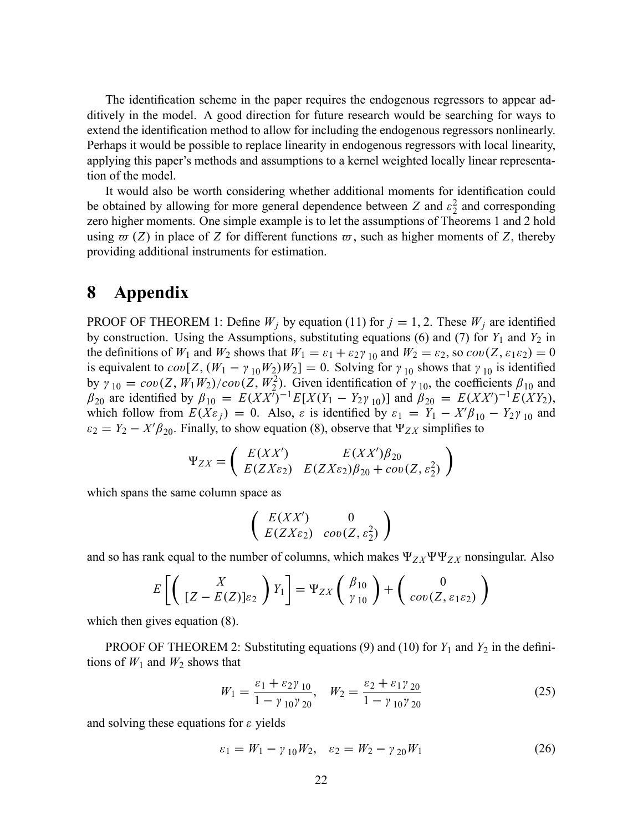The identification scheme in the paper requires the endogenous regressors to appear additively in the model. A good direction for future research would be searching for ways to extend the identification method to allow for including the endogenous regressors nonlinearly. Perhaps it would be possible to replace linearity in endogenous regressors with local linearity, applying this paper's methods and assumptions to a kernel weighted locally linear representation of the model.

It would also be worth considering whether additional moments for identification could be obtained by allowing for more general dependence between Z and  $\varepsilon_2^2$  $2<sub>2</sub>$  and corresponding zero higher moments. One simple example is to let the assumptions of Theorems 1 and 2 hold using  $\varpi$  (Z) in place of Z for different functions  $\varpi$ , such as higher moments of Z, thereby providing additional instruments for estimation.

### 8 Appendix

PROOF OF THEOREM 1: Define  $W_j$  by equation (11) for  $j = 1, 2$ . These  $W_j$  are identified by construction. Using the Assumptions, substituting equations (6) and (7) for  $Y_1$  and  $Y_2$  in the definitions of  $W_1$  and  $W_2$  shows that  $W_1 = \varepsilon_1 + \varepsilon_2 \gamma_{10}$  and  $W_2 = \varepsilon_2$ , so  $cov(Z, \varepsilon_1 \varepsilon_2) = 0$ is equivalent to  $cov[Z_1(W_1 - \gamma_{10}W_2)W_2] = 0$ . Solving for  $\gamma_{10}$  shows that  $\gamma_{10}$  is identified by  $\gamma_{10} = cov(Z, W_1 W_2)/cov(Z, W_2^2)$ . Given identification of  $\gamma_{10}$ , the coefficients  $\beta_{10}$  and  $\beta_{20}$  are identified by  $\beta_{10} = E(XX^{\tau})^{-1}E[X(Y_1 - Y_2\gamma_{10})]$  and  $\beta_{20} = E(XX^{\prime})^{-1}E(XY_2)$ , which follow from  $E(X\varepsilon_j) = 0$ . Also,  $\varepsilon$  is identified by  $\varepsilon_1 = Y_1 - X'\beta_{10} - Y_2\gamma_{10}$  and  $\varepsilon_2 = Y_2 - X'\beta_{20}$ . Finally, to show equation (8), observe that  $\Psi_{ZX}$  simplifies to

$$
\Psi_{ZX} = \left( \begin{array}{cc} E(XX') & E(XX')\beta_{20} \\ E(ZX\varepsilon_2) & E(ZX\varepsilon_2)\beta_{20} + cov(Z,\varepsilon_2^2) \end{array} \right)
$$

which spans the same column space as

$$
\left(\begin{array}{cc}E(XX')&0\\E(ZX\varepsilon_2)&cov(Z,\varepsilon_2^2)\end{array}\right)
$$

and so has rank equal to the number of columns, which makes  $\Psi_{ZX}\Psi\Psi_{ZX}$  nonsingular. Also

$$
E\left[\left(\begin{array}{c} X \\ [Z-E(Z)]\varepsilon_2 \end{array}\right)Y_1\right] = \Psi_{ZX}\left(\begin{array}{c} \beta_{10} \\ \gamma_{10} \end{array}\right) + \left(\begin{array}{c} 0 \\ cov(Z, \varepsilon_1 \varepsilon_2) \end{array}\right)
$$

which then gives equation (8).

PROOF OF THEOREM 2: Substituting equations (9) and (10) for  $Y_1$  and  $Y_2$  in the definitions of  $W_1$  and  $W_2$  shows that

$$
W_1 = \frac{\varepsilon_1 + \varepsilon_2 \gamma_{10}}{1 - \gamma_{10} \gamma_{20}}, \quad W_2 = \frac{\varepsilon_2 + \varepsilon_1 \gamma_{20}}{1 - \gamma_{10} \gamma_{20}} \tag{25}
$$

and solving these equations for  $\varepsilon$  yields

$$
\varepsilon_1 = W_1 - \gamma_{10} W_2, \quad \varepsilon_2 = W_2 - \gamma_{20} W_1 \tag{26}
$$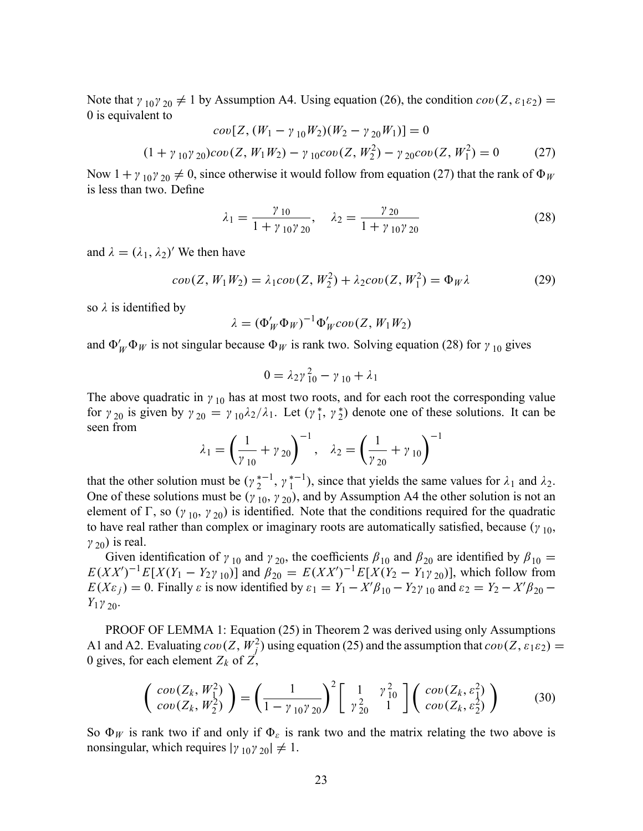Note that  $\gamma_{10}\gamma_{20} \neq 1$  by Assumption A4. Using equation (26), the condition  $cov(Z, \varepsilon_1 \varepsilon_2)$ 0 is equivalent to

$$
cov[Z, (W_1 - \gamma_{10}W_2)(W_2 - \gamma_{20}W_1)] = 0
$$
  
(1 +  $\gamma_{10}\gamma_{20}$ ) $cov(Z, W_1W_2) - \gamma_{10}cov(Z, W_2^2) - \gamma_{20}cov(Z, W_1^2) = 0$  (27)

Now  $1 + \gamma_{10}\gamma_{20} \neq 0$ , since otherwise it would follow from equation (27) that the rank of  $\Phi_W$ is less than two. Define

$$
\lambda_1 = \frac{\gamma_{10}}{1 + \gamma_{10}\gamma_{20}}, \quad \lambda_2 = \frac{\gamma_{20}}{1 + \gamma_{10}\gamma_{20}} \tag{28}
$$

and  $\lambda = (\lambda_1, \lambda_2)'$  We then have

$$
cov(Z, W_1 W_2) = \lambda_1 cov(Z, W_2^2) + \lambda_2 cov(Z, W_1^2) = \Phi_W \lambda
$$
 (29)

so  $\lambda$  is identified by

$$
\lambda = (\Phi'_W \Phi_W)^{-1} \Phi'_W \text{cov}(Z, W_1 W_2)
$$

and  $\Phi'_W \Phi_W$  is not singular because  $\Phi_W$  is rank two. Solving equation (28) for  $\gamma_{10}$  gives

$$
0 = \lambda_2 \gamma_{10}^2 - \gamma_{10} + \lambda_1
$$

The above quadratic in  $\gamma_{10}$  has at most two roots, and for each root the corresponding value for  $\gamma_{20}$  is given by  $\gamma_{20} = \gamma_{10}\lambda_2/\lambda_1$ . Let  $(\gamma_1^*, \gamma_2^*)$  denote one of these solutions. It can be seen from

$$
\lambda_1 = \left(\frac{1}{\gamma_{10}} + \gamma_{20}\right)^{-1}, \quad \lambda_2 = \left(\frac{1}{\gamma_{20}} + \gamma_{10}\right)^{-1}
$$

that the other solution must be  $(\gamma_2^{*-1}, \gamma_1^{*-1})$ , since that yields the same values for  $\lambda_1$  and  $\lambda_2$ . One of these solutions must be  $(\gamma_{10}, \gamma_{20})$ , and by Assumption A4 the other solution is not an element of  $\Gamma$ , so  $(\gamma_{10}, \gamma_{20})$  is identified. Note that the conditions required for the quadratic to have real rather than complex or imaginary roots are automatically satisfied, because  $(\gamma_{10},$  $\gamma_{20}$ ) is real.

Given identification of  $\gamma_{10}$  and  $\gamma_{20}$ , the coefficients  $\beta_{10}$  and  $\beta_{20}$  are identified by  $\beta_{10} =$  $E(XX')^{-1}E[X(Y_1 - Y_2\gamma_{10})]$  and  $\beta_{20} = E(XX')^{-1}E[X(Y_2 - Y_1\gamma_{20})]$ , which follow from  $E(X\varepsilon_j) = 0$ . Finally  $\varepsilon$  is now identified by  $\varepsilon_1 = Y_1 - X'\beta_{10} - Y_2\gamma_{10}$  and  $\varepsilon_2 = Y_2 - X'\beta_{20} - Y_1\gamma_{20}$  $Y_1 \gamma_{20}$ .

PROOF OF LEMMA 1: Equation (25) in Theorem 2 was derived using only Assumptions A1 and A2. Evaluating  $cov(Z, W_1^2)$  using equation (25) and the assumption that  $cov(Z, \varepsilon_1 \varepsilon_2)$  = 0 gives, for each element  $Z_k$  of  $Z$ ,

$$
\begin{pmatrix}\n\cos(Z_k, W_1^2) \\
\cos(Z_k, W_2^2)\n\end{pmatrix} = \left(\frac{1}{1 - \gamma_{10}\gamma_{20}}\right)^2 \begin{bmatrix}\n1 & \gamma_{10}^2 \\
\gamma_{20}^2 & 1\n\end{bmatrix} \begin{pmatrix}\n\cos(Z_k, \varepsilon_1^2) \\
\cos(Z_k, \varepsilon_2^2)\n\end{pmatrix}
$$
\n(30)

So  $\Phi_W$  is rank two if and only if  $\Phi_{\varepsilon}$  is rank two and the matrix relating the two above is nonsingular, which requires  $|\gamma_{10}\gamma_{20}| \neq 1$ .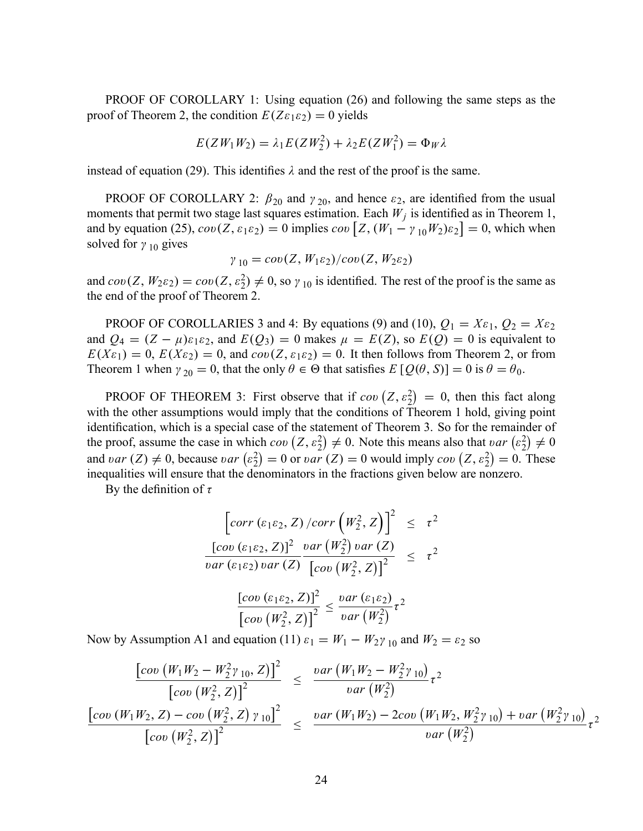PROOF OF COROLLARY 1: Using equation (26) and following the same steps as the proof of Theorem 2, the condition  $E(Z \varepsilon_1 \varepsilon_2) = 0$  yields

$$
E(ZW_1W_2) = \lambda_1 E(ZW_2^2) + \lambda_2 E(ZW_1^2) = \Phi_W \lambda
$$

instead of equation (29). This identifies  $\lambda$  and the rest of the proof is the same.

PROOF OF COROLLARY 2:  $\beta_{20}$  and  $\gamma_{20}$ , and hence  $\varepsilon_2$ , are identified from the usual moments that permit two stage last squares estimation. Each  $W_j$  is identified as in Theorem 1, and by equation (25),  $cov(Z, \varepsilon_1 \varepsilon_2) = 0$  implies  $cov[Z, (W_1 - \gamma_{10} W_2)\varepsilon_2] = 0$ , which when solved for  $\gamma_{10}$  gives

$$
\gamma_{10}=cov(Z,W_1\varepsilon_2)/cov(Z,W_2\varepsilon_2)
$$

and  $cov(Z, W_2 \varepsilon_2) = cov(Z, \varepsilon_2^2) \neq 0$ , so  $\gamma_{10}$  is identified. The rest of the proof is the same as the end of the proof of Theorem 2.

PROOF OF COROLLARIES 3 and 4: By equations (9) and (10),  $Q_1 = X \varepsilon_1$ ,  $Q_2 = X \varepsilon_2$ and  $Q_4 = (Z - \mu)\varepsilon_1\varepsilon_2$ , and  $E(Q_3) = 0$  makes  $\mu = E(Z)$ , so  $E(Q) = 0$  is equivalent to  $E(X_{\epsilon_1}) = 0$ ,  $E(X_{\epsilon_2}) = 0$ , and  $cov(Z, \epsilon_1 \epsilon_2) = 0$ . It then follows from Theorem 2, or from Theorem 1 when  $\gamma_{20} = 0$ , that the only  $\theta \in \Theta$  that satisfies  $E\left[Q(\theta, S)\right] = 0$  is  $\theta = \theta_0$ .

**PROOF OF THEOREM 3:** First observe that if  $cov(Z, \varepsilon_2^2) = 0$ , then this fact along with the other assumptions would imply that the conditions of Theorem 1 hold, giving point identification, which is a special case of the statement of Theorem 3. So for the remainder of the proof, assume the case in which  $cov(Z, \varepsilon_2^2) \neq 0$ . Note this means also that  $var(\varepsilon_2^2)$  $(\frac{2}{2}) \neq 0$ and var  $(Z) \neq 0$ , because var  $\left(\varepsilon_2^2\right)$  $\binom{2}{2} = 0$  or *var*  $(Z) = 0$  would imply *cov*  $(Z, \varepsilon_2^2) = 0$ . These inequalities will ensure that the denominators in the fractions given below are nonzero.

By the definition of  $\tau$ 

$$
\begin{aligned}\n\left[\operatorname{corr}\left(\varepsilon_{1}\varepsilon_{2}, Z\right)/\operatorname{corr}\left(W_{2}^{2}, Z\right)\right]^{2} &\leq \tau^{2} \\
\frac{\left[\operatorname{cov}\left(\varepsilon_{1}\varepsilon_{2}, Z\right)\right]^{2} \operatorname{var}\left(W_{2}^{2}\right) \operatorname{var}\left(Z\right)}{\operatorname{var}\left(\varepsilon_{2}\varepsilon_{2}\right) \operatorname{var}\left(Z\right)} &\leq \tau^{2} \\
\frac{\left[\operatorname{cov}\left(\varepsilon_{1}\varepsilon_{2}, Z\right)\right]^{2}}{\left[\operatorname{cov}\left(W_{2}^{2}, Z\right)\right]^{2}} &\leq \frac{\operatorname{var}\left(\varepsilon_{1}\varepsilon_{2}\right)}{\operatorname{var}\left(W_{2}^{2}\right)} \tau^{2}\n\end{aligned}
$$

Now by Assumption A1 and equation (11)  $\varepsilon_1 = W_1 - W_2 \gamma_{10}$  and  $W_2 = \varepsilon_2$  so

$$
\frac{\left[\cosh(W_1W_2 - W_2^2\gamma_{10}, Z)\right]^2}{\left[\cosh(W_2 Z)\right]^2} \leq \frac{\tan(W_1W_2 - W_2^2\gamma_{10})}{\tan(W_2^2)} \tau^2
$$
\n
$$
\frac{\left[\cosh(W_1W_2, Z) - \cos(W_2^2, Z)\gamma_{10}\right]^2}{\left[\cos(W_2^2, Z)\right]^2} \leq \frac{\tan(W_1W_2) - 2\cos(W_1W_2, W_2^2\gamma_{10}) + \tan(W_2^2\gamma_{10})}{\tan(W_2^2)} \tau^2
$$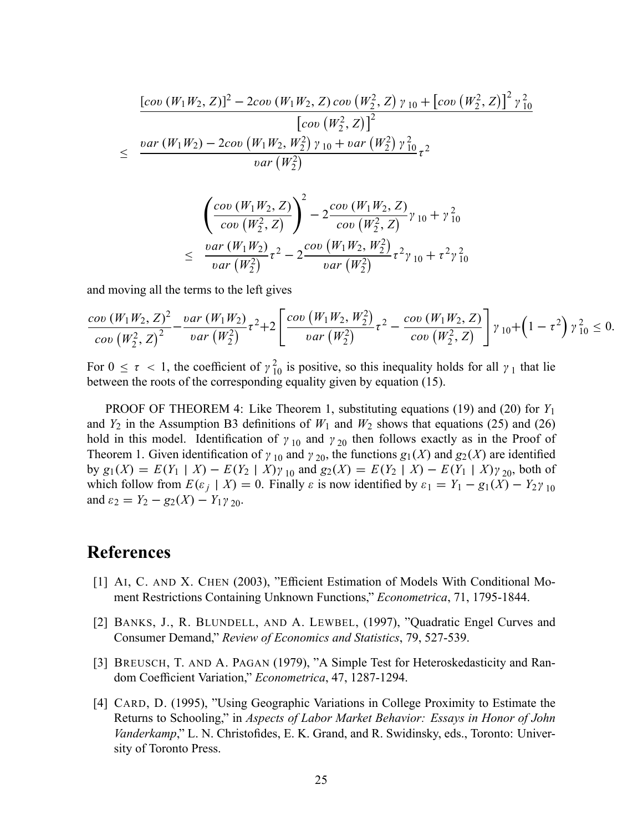$$
\frac{[cov(W_1W_2, Z)]^2 - 2cov(W_1W_2, Z) cov(W_2^2, Z) \gamma_{10} + [cov(W_2^2, Z)]^2 \gamma_{10}^2}{[cov(W_2^2, Z)]^2}
$$
  
 
$$
\leq \frac{var(W_1W_2) - 2cov(W_1W_2, W_2^2) \gamma_{10} + var(W_2^2) \gamma_{10}^2}{var(W_2^2)} \tau^2
$$

$$
\left(\frac{\operatorname{cov}(W_1W_2, Z)}{\operatorname{cov}(W_2^2, Z)}\right)^2 - 2\frac{\operatorname{cov}(W_1W_2, Z)}{\operatorname{cov}(W_2^2, Z)}\gamma_{10} + \gamma_{10}^2
$$
  

$$
\leq \frac{\operatorname{var}(W_1W_2)}{\operatorname{var}(W_2^2)}\tau^2 - 2\frac{\operatorname{cov}(W_1W_2, W_2^2)}{\operatorname{var}(W_2^2)}\tau^2\gamma_{10} + \tau^2\gamma_{10}^2
$$

and moving all the terms to the left gives

$$
\frac{\mathrm{cov}(W_1W_2, Z)^2}{\mathrm{cov}(W_2^2, Z)^2} - \frac{\mathrm{var}(W_1W_2)}{\mathrm{var}(W_2^2)} \tau^2 + 2 \left[ \frac{\mathrm{cov}(W_1W_2, W_2^2)}{\mathrm{var}(W_2^2)} \tau^2 - \frac{\mathrm{cov}(W_1W_2, Z)}{\mathrm{cov}(W_2^2, Z)} \right] \gamma_{10} + \left(1 - \tau^2\right) \gamma_{10}^2 \le 0.
$$

For  $0 \le \tau < 1$ , the coefficient of  $\gamma_{10}^2$  is positive, so this inequality holds for all  $\gamma_1$  that lie between the roots of the corresponding equality given by equation (15).

PROOF OF THEOREM 4: Like Theorem 1, substituting equations (19) and (20) for  $Y_1$ and  $Y_2$  in the Assumption B3 definitions of  $W_1$  and  $W_2$  shows that equations (25) and (26) hold in this model. Identification of  $\gamma_{10}$  and  $\gamma_{20}$  then follows exactly as in the Proof of Theorem 1. Given identification of  $\gamma_{10}$  and  $\gamma_{20}$ , the functions  $g_1(X)$  and  $g_2(X)$  are identified by  $g_1(X) = E(Y_1 | X) - E(Y_2 | X) \gamma_{10}$  and  $g_2(X) = E(Y_2 | X) - E(Y_1 | X) \gamma_{20}$ , both of which follow from  $E(\varepsilon_j | X) = 0$ . Finally  $\varepsilon$  is now identified by  $\varepsilon_1 = Y_1 - g_1(X) - Y_2 \gamma_{10}$ and  $\varepsilon_2 = Y_2 - g_2(X) - Y_1 \gamma_{20}$ .

# References

- [1] AI, C. AND X. CHEN (2003), "Efficient Estimation of Models With Conditional Moment Restrictions Containing Unknown Functions," Econometrica, 71, 1795-1844.
- [2] BANKS, J., R. BLUNDELL, AND A. LEWBEL, (1997), "Quadratic Engel Curves and Consumer Demand," Review of Economics and Statistics, 79, 527-539.
- [3] BREUSCH, T. AND A. PAGAN (1979), "A Simple Test for Heteroskedasticity and Random Coefficient Variation," Econometrica, 47, 1287-1294.
- [4] CARD, D. (1995), "Using Geographic Variations in College Proximity to Estimate the Returns to Schooling," in Aspects of Labor Market Behavior: Essays in Honor of John Vanderkamp," L. N. Christofides, E. K. Grand, and R. Swidinsky, eds., Toronto: University of Toronto Press.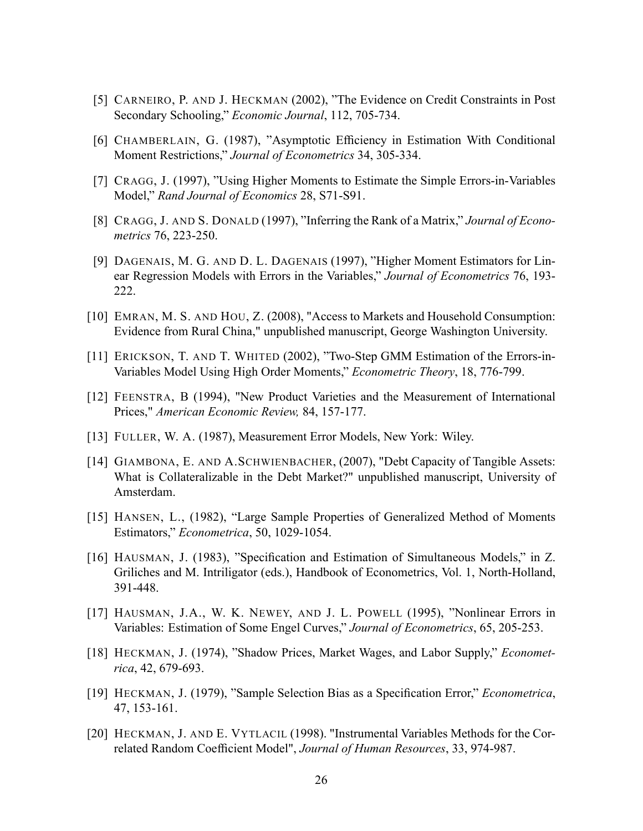- [5] CARNEIRO, P. AND J. HECKMAN (2002), "The Evidence on Credit Constraints in Post Secondary Schooling," Economic Journal, 112, 705-734.
- [6] CHAMBERLAIN, G. (1987), "Asymptotic Efficiency in Estimation With Conditional Moment Restrictions," Journal of Econometrics 34, 305-334.
- [7] CRAGG, J. (1997), "Using Higher Moments to Estimate the Simple Errors-in-Variables Model," Rand Journal of Economics 28, S71-S91.
- [8] CRAGG, J. AND S. DONALD (1997), "Inferring the Rank of a Matrix," Journal of Econometrics 76, 223-250.
- [9] DAGENAIS, M. G. AND D. L. DAGENAIS (1997), "Higher Moment Estimators for Linear Regression Models with Errors in the Variables," Journal of Econometrics 76, 193-222.
- [10] EMRAN, M. S. AND HOU, Z. (2008), "Access to Markets and Household Consumption: Evidence from Rural China," unpublished manuscript, George Washington University.
- [11] ERICKSON, T. AND T. WHITED (2002), "Two-Step GMM Estimation of the Errors-in-Variables Model Using High Order Moments," *Econometric Theory*, 18, 776-799.
- [12] FEENSTRA, B (1994), "New Product Varieties and the Measurement of International Prices," American Economic Review, 84, 157-177.
- [13] FULLER, W. A. (1987), Measurement Error Models, New York: Wiley.
- [14] GIAMBONA, E. AND A.SCHWIENBACHER, (2007), "Debt Capacity of Tangible Assets: What is Collateralizable in the Debt Market?" unpublished manuscript, University of Amsterdam.
- [15] HANSEN, L., (1982), "Large Sample Properties of Generalized Method of Moments Estimators," Econometrica, 50, 1029-1054.
- [16] HAUSMAN, J. (1983), "Specification and Estimation of Simultaneous Models," in Z. Griliches and M. Intriligator (eds.), Handbook of Econometrics, Vol. 1, North-Holland, 391-448.
- [17] HAUSMAN, J.A., W. K. NEWEY, AND J. L. POWELL (1995), "Nonlinear Errors in Variables: Estimation of Some Engel Curves," Journal of Econometrics, 65, 205-253.
- [18] HECKMAN, J. (1974), "Shadow Prices, Market Wages, and Labor Supply," Econometrica, 42, 679-693.
- [19] HECKMAN, J. (1979), "Sample Selection Bias as a Specification Error," Econometrica, 47, 153-161.
- [20] HECKMAN, J. AND E. VYTLACIL (1998). "Instrumental Variables Methods for the Correlated Random Coefficient Model", Journal of Human Resources, 33, 974-987.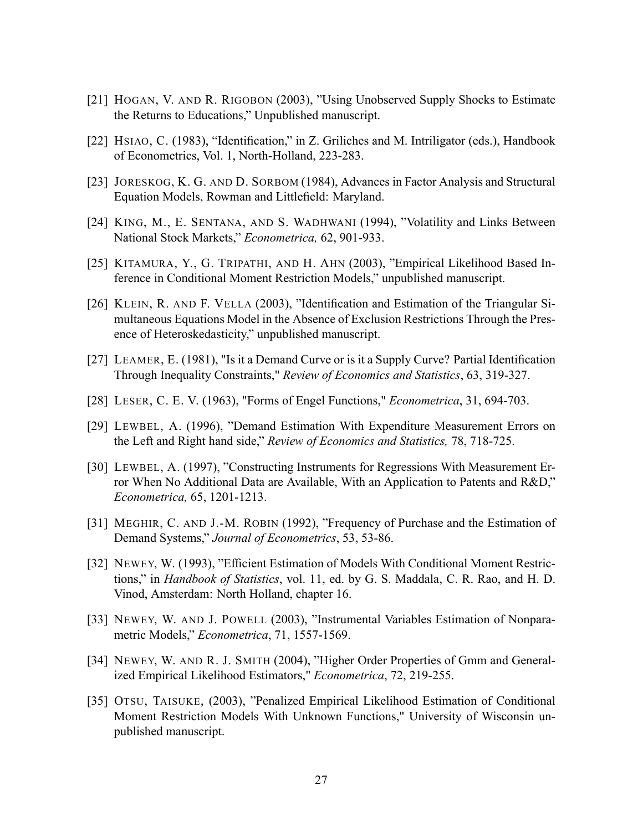- [21] HOGAN, V. AND R. RIGOBON (2003), "Using Unobserved Supply Shocks to Estimate the Returns to Educations," Unpublished manuscript.
- [22] HSIAO, C. (1983), "Identification," in Z. Griliches and M. Intriligator (eds.), Handbook of Econometrics, Vol. 1, North-Holland, 223-283.
- [23] JORESKOG, K. G. AND D. SORBOM (1984), Advances in Factor Analysis and Structural Equation Models, Rowman and Littlefield: Maryland.
- [24] KING, M., E. SENTANA, AND S. WADHWANI (1994), "Volatility and Links Between National Stock Markets," Econometrica, 62, 901-933.
- [25] KITAMURA, Y., G. TRIPATHI, AND H. AHN (2003), "Empirical Likelihood Based Inference in Conditional Moment Restriction Models," unpublished manuscript.
- [26] KLEIN, R. AND F. VELLA (2003), "Identification and Estimation of the Triangular Simultaneous Equations Model in the Absence of Exclusion Restrictions Through the Presence of Heteroskedasticity," unpublished manuscript.
- [27] LEAMER, E. (1981), "Is it a Demand Curve or is it a Supply Curve? Partial Identification Through Inequality Constraints," Review of Economics and Statistics, 63, 319-327.
- [28] LESER, C. E. V. (1963), "Forms of Engel Functions," *Econometrica*, 31, 694-703.
- [29] LEWBEL, A. (1996), "Demand Estimation With Expenditure Measurement Errors on the Left and Right hand side," Review of Economics and Statistics, 78, 718-725.
- [30] LEWBEL, A. (1997), "Constructing Instruments for Regressions With Measurement Error When No Additional Data are Available, With an Application to Patents and  $R&D$ ," Econometrica, 65, 1201-1213.
- [31] MEGHIR, C. AND J.-M. ROBIN (1992), "Frequency of Purchase and the Estimation of Demand Systems," Journal of Econometrics, 53, 53-86.
- [32] NEWEY, W. (1993), "Efficient Estimation of Models With Conditional Moment Restrictions," in *Handbook of Statistics*, vol. 11, ed. by G. S. Maddala, C. R. Rao, and H. D. Vinod, Amsterdam: North Holland, chapter 16.
- [33] NEWEY, W. AND J. POWELL (2003), "Instrumental Variables Estimation of Nonparametric Models," Econometrica, 71, 1557-1569.
- [34] NEWEY, W. AND R. J. SMITH (2004), "Higher Order Properties of Gmm and Generalized Empirical Likelihood Estimators," Econometrica, 72, 219-255.
- [35] OTSU, TAISUKE, (2003), "Penalized Empirical Likelihood Estimation of Conditional Moment Restriction Models With Unknown Functions," University of Wisconsin unpublished manuscript.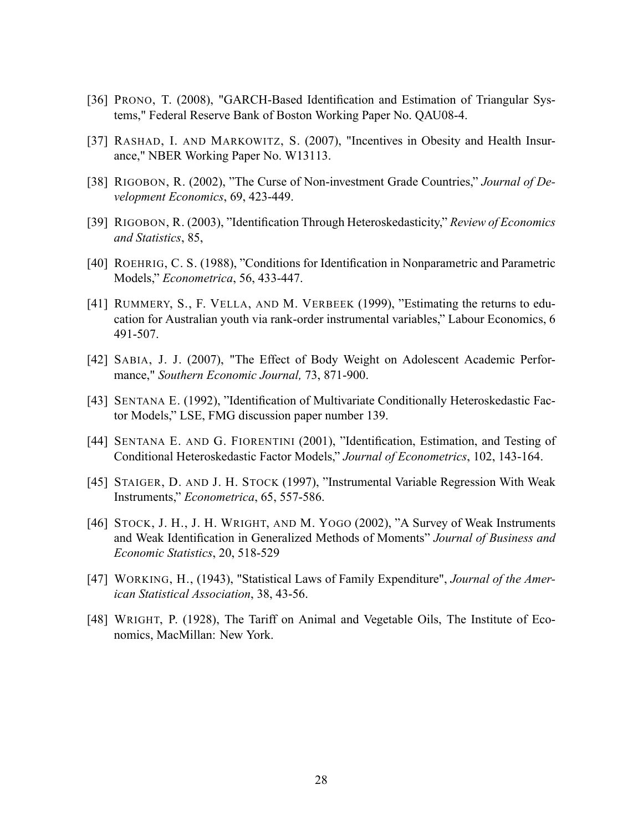- [36] PRONO, T. (2008), "GARCH-Based Identification and Estimation of Triangular Systems," Federal Reserve Bank of Boston Working Paper No. QAU08-4.
- [37] RASHAD, I. AND MARKOWITZ, S. (2007), "Incentives in Obesity and Health Insurance," NBER Working Paper No. W13113.
- [38] RIGOBON, R. (2002), "The Curse of Non-investment Grade Countries," Journal of Development Economics, 69, 423-449.
- [39] RIGOBON, R. (2003), "Identification Through Heteroskedasticity," Review of Economics and Statistics, 85,
- [40] ROEHRIG, C. S. (1988), "Conditions for Identification in Nonparametric and Parametric Models," Econometrica, 56, 433-447.
- [41] RUMMERY, S., F. VELLA, AND M. VERBEEK (1999), "Estimating the returns to education for Australian youth via rank-order instrumental variables," Labour Economics, 6 491-507.
- [42] SABIA, J. J. (2007), "The Effect of Body Weight on Adolescent Academic Performance," Southern Economic Journal, 73, 871-900.
- [43] SENTANA E. (1992), "Identification of Multivariate Conditionally Heteroskedastic Factor Models," LSE, FMG discussion paper number 139.
- [44] SENTANA E. AND G. FIORENTINI (2001), "Identification, Estimation, and Testing of Conditional Heteroskedastic Factor Models,î Journal of Econometrics, 102, 143-164.
- [45] STAIGER, D. AND J. H. STOCK (1997), "Instrumental Variable Regression With Weak Instruments," Econometrica, 65, 557-586.
- [46] STOCK, J. H., J. H. WRIGHT, AND M. YOGO (2002), "A Survey of Weak Instruments and Weak Identification in Generalized Methods of Moments" Journal of Business and Economic Statistics, 20, 518-529
- [47] WORKING, H., (1943), "Statistical Laws of Family Expenditure", Journal of the American Statistical Association, 38, 43-56.
- [48] WRIGHT, P. (1928), The Tariff on Animal and Vegetable Oils, The Institute of Economics, MacMillan: New York.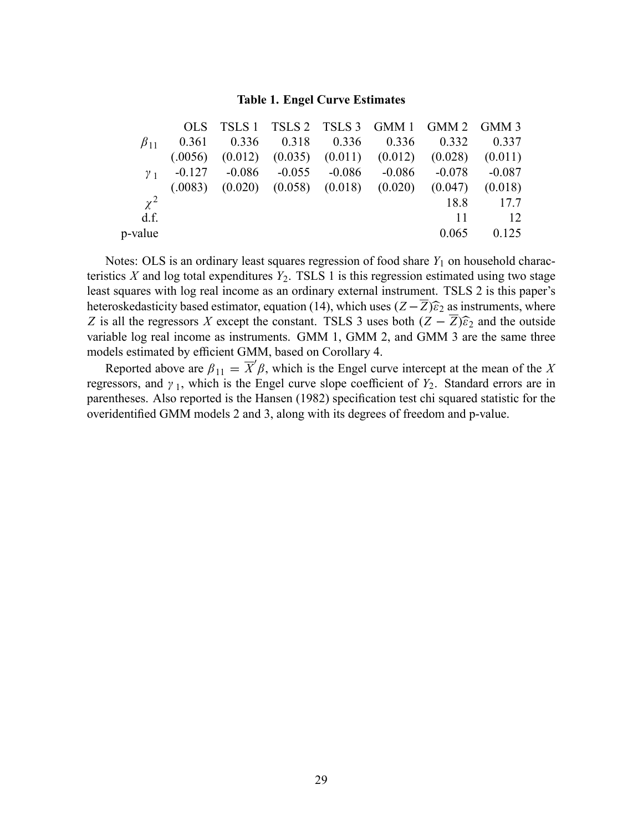#### Table 1. Engel Curve Estimates

|              |  |  | OLS TSLS 1 TSLS 2 TSLS 3 GMM 1 GMM 2 GMM 3                             |       |
|--------------|--|--|------------------------------------------------------------------------|-------|
| $\beta_{11}$ |  |  | $0.361$ $0.336$ $0.318$ $0.336$ $0.336$ $0.332$ $0.337$                |       |
|              |  |  | $(.0056)$ $(0.012)$ $(0.035)$ $(0.011)$ $(0.012)$ $(0.028)$ $(0.011)$  |       |
| $\gamma_{1}$ |  |  | $-0.127$ $-0.086$ $-0.055$ $-0.086$ $-0.086$ $-0.078$ $-0.087$         |       |
|              |  |  | $(0.0083)$ $(0.020)$ $(0.058)$ $(0.018)$ $(0.020)$ $(0.047)$ $(0.018)$ |       |
| $\chi^2$     |  |  | 18.8                                                                   | 17.7  |
| d.f.         |  |  | 11                                                                     | -12   |
| p-value      |  |  | 0.065                                                                  | 0.125 |
|              |  |  |                                                                        |       |

Notes: OLS is an ordinary least squares regression of food share  $Y_1$  on household characteristics  $X$  and log total expenditures  $Y_2$ . TSLS 1 is this regression estimated using two stage least squares with log real income as an ordinary external instrument. TSLS 2 is this paper's heteroskedasticity based estimator, equation (14), which uses  $(Z - \overline{Z})\hat{\epsilon}_2$  as instruments, where Z is all the regressors X except the constant. TSLS 3 uses both  $(Z - \overline{Z})\widehat{\epsilon}_2$  and the outside variable log real income as instruments. GMM 1, GMM 2, and GMM 3 are the same three models estimated by efficient GMM, based on Corollary 4.

Reported above are  $\beta_{11} = \overline{X}' \beta$ , which is the Engel curve intercept at the mean of the X regressors, and  $\gamma_1$ , which is the Engel curve slope coefficient of  $Y_2$ . Standard errors are in parentheses. Also reported is the Hansen (1982) specification test chi squared statistic for the overidentified GMM models 2 and 3, along with its degrees of freedom and p-value.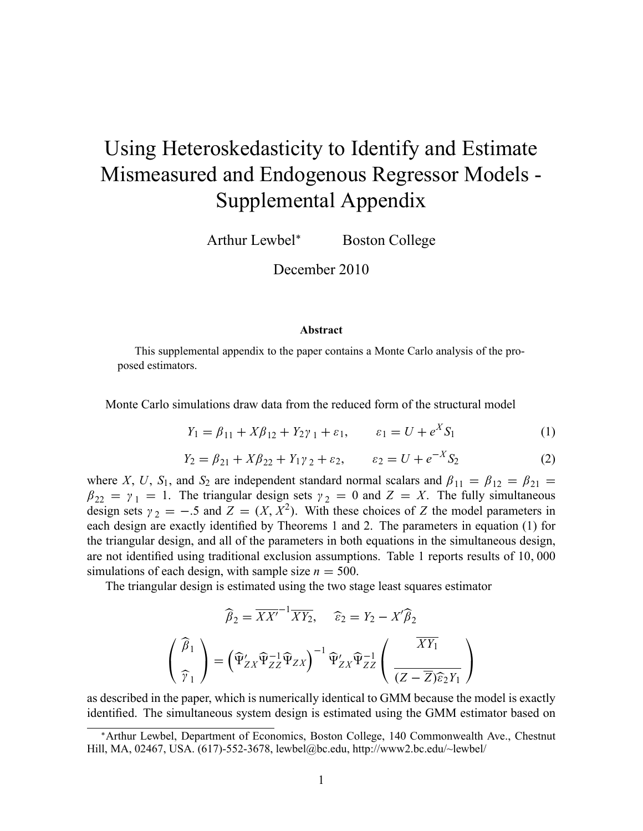# Using Heteroskedasticity to Identify and Estimate Mismeasured and Endogenous Regressor Models - Supplemental Appendix

Arthur Lewbel<sup>\*</sup> Boston College

December 2010

#### Abstract

This supplemental appendix to the paper contains a Monte Carlo analysis of the proposed estimators.

Monte Carlo simulations draw data from the reduced form of the structural model

$$
Y_1 = \beta_{11} + X\beta_{12} + Y_2\gamma_1 + \varepsilon_1, \qquad \varepsilon_1 = U + e^X S_1 \tag{1}
$$

$$
Y_2 = \beta_{21} + X\beta_{22} + Y_1\gamma_2 + \varepsilon_2, \qquad \varepsilon_2 = U + e^{-X}S_2 \tag{2}
$$

where X, U, S<sub>1</sub>, and S<sub>2</sub> are independent standard normal scalars and  $\beta_{11} = \beta_{12} = \beta_{21} =$  $\beta_{22} = \gamma_1 = 1$ . The triangular design sets  $\gamma_2 = 0$  and  $Z = X$ . The fully simultaneous design sets  $\gamma_2 = -.5$  and  $Z = (X, X^2)$ . With these choices of Z the model parameters in each design are exactly identified by Theorems 1 and 2. The parameters in equation (1) for the triangular design, and all of the parameters in both equations in the simultaneous design, are not identified using traditional exclusion assumptions. Table 1 reports results of 10,000 simulations of each design, with sample size  $n = 500$ .

The triangular design is estimated using the two stage least squares estimator

$$
\widehat{\beta}_2 = \overline{XX'}^{-1} \overline{XY}_2, \quad \widehat{\varepsilon}_2 = Y_2 - X' \widehat{\beta}_2
$$

$$
\begin{pmatrix} \widehat{\beta}_1 \\ \widehat{\gamma}_1 \end{pmatrix} = \left( \widehat{\Psi}'_{ZX} \widehat{\Psi}_{ZZ}^{-1} \widehat{\Psi}_{ZX} \right)^{-1} \widehat{\Psi}'_{ZX} \widehat{\Psi}_{ZZ}^{-1} \left( \frac{\overline{XY}_1}{(Z - \overline{Z}) \widehat{\varepsilon}_2 Y_1} \right)
$$

as described in the paper, which is numerically identical to GMM because the model is exactly identified. The simultaneous system design is estimated using the GMM estimator based on

Arthur Lewbel, Department of Economics, Boston College, 140 Commonwealth Ave., Chestnut Hill, MA, 02467, USA. (617)-552-3678, lewbel@bc.edu, http://www2.bc.edu/~lewbel/